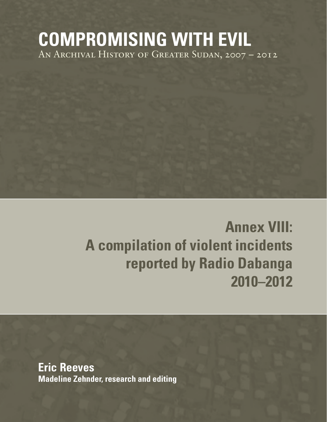## **COMPROMISING WITH EVIL** An Archival History of Greater Sudan, 2007 – 2012

# **Annex VIII: A compilation of violent incidents reported by Radio Dabanga 2010–2012**

**Eric Reeves Madeline Zehnder, research and editing**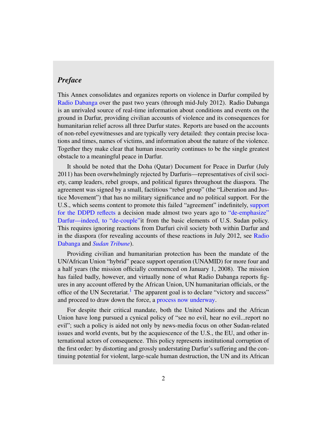#### *Preface*

This Annex consolidates and organizes reports on violence in Darfur compiled by [Radio Dabanga](http://www.radiodabanga.org/) over the past two years (through mid-July 2012). Radio Dabanga is an unrivaled source of real-time information about conditions and events on the ground in Darfur, providing civilian accounts of violence and its consequences for humanitarian relief across all three Darfur states. Reports are based on the accounts of non-rebel eyewitnesses and are typically very detailed: they contain precise locations and times, names of victims, and information about the nature of the violence. Together they make clear that human insecurity continues to be the single greatest obstacle to a meaningful peace in Darfur.

It should be noted that the Doha (Qatar) Document for Peace in Darfur (July 2011) has been overwhelmingly rejected by Darfuris—representatives of civil society, camp leaders, rebel groups, and political figures throughout the diaspora. The agreement was signed by a small, factitious "rebel group" (the "Liberation and Justice Movement") that has no military significance and no political support. For the U.S., which seems content to promote this failed "agreement" indefinitely, [support](http://www.radiodabanga.org/node/31299) [for the DDPD reflects](http://www.radiodabanga.org/node/31299) a decision made almost two years ago to ["de-emphasize"](http://www.sudanreeves.org/2011/02/15/darfur-de-emphasized-de-coupled-and-finally-denied-february-15-2011/) [Darfur—indeed, to "de-couple"i](http://www.sudanreeves.org/2011/02/15/darfur-de-emphasized-de-coupled-and-finally-denied-february-15-2011/)t from the basic elements of U.S. Sudan policy. This requires ignoring reactions from Darfuri civil society both within Darfur and in the diaspora (for revealing accounts of these reactions in July 2012, see [Radio](http://www.radiodabanga.org/node/33097) [Dabanga](http://www.radiodabanga.org/node/33097) and *[Sudan Tribune](http://www.sudantribune.com/Sudan-and-LJM-reschedule,43305)*).

Providing civilian and humanitarian protection has been the mandate of the UN/African Union "hybrid" peace support operation (UNAMID) for more four and a half years (the mission officially commenced on January 1, 2008). The mission has failed badly, however, and virtually none of what Radio Dabanga reports figures in any account offered by the African Union, UN humanitarian officials, or the office of the UN Secretariat.<sup>1</sup> The apparent goal is to declare "victory and success" and proceed to draw down the force, a [process now underway.](http://www.sudantribune.com/Darfur-peacekeepers-to-be-reduced,43038)

For despite their critical mandate, both the United Nations and the African Union have long pursued a cynical policy of "see no evil, hear no evil...report no evil"; such a policy is aided not only by news-media focus on other Sudan-related issues and world events, but by the acquiescence of the U.S., the EU, and other international actors of consequence. This policy represents institutional corruption of the first order: by distorting and grossly understating Darfur's suffering and the continuing potential for violent, large-scale human destruction, the UN and its African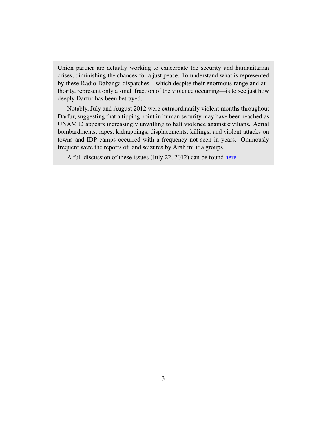Union partner are actually working to exacerbate the security and humanitarian crises, diminishing the chances for a just peace. To understand what is represented by these Radio Dabanga dispatches—which despite their enormous range and authority, represent only a small fraction of the violence occurring—is to see just how deeply Darfur has been betrayed.

Notably, July and August 2012 were extraordinarily violent months throughout Darfur, suggesting that a tipping point in human security may have been reached as UNAMID appears increasingly unwilling to halt violence against civilians. Aerial bombardments, rapes, kidnappings, displacements, killings, and violent attacks on towns and IDP camps occurred with a frequency not seen in years. Ominously frequent were the reports of land seizures by Arab militia groups.

A full discussion of these issues (July 22, 2012) can be found [here.](http://www.sudanreeves.org/?p=3344)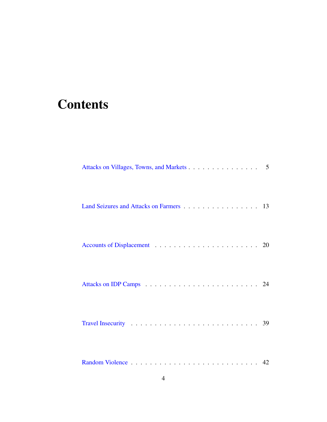### **Contents**

| Attacks on Villages, Towns, and Markets 5 |  |
|-------------------------------------------|--|
| Land Seizures and Attacks on Farmers 13   |  |
|                                           |  |
|                                           |  |
|                                           |  |
|                                           |  |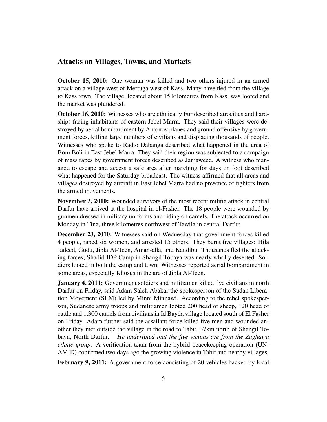#### <span id="page-4-0"></span>Attacks on Villages, Towns, and Markets

October 15, 2010: One woman was killed and two others injured in an armed attack on a village west of Mertuga west of Kass. Many have fled from the village to Kass town. The village, located about 15 kilometres from Kass, was looted and the market was plundered.

October 16, 2010: Witnesses who are ethnically Fur described atrocities and hardships facing inhabitants of eastern Jebel Marra. They said their villages were destroyed by aerial bombardment by Antonov planes and ground offensive by government forces, killing large numbers of civilians and displacing thousands of people. Witnesses who spoke to Radio Dabanga described what happened in the area of Bom Boli in East Jebel Marra. They said their region was subjected to a campaign of mass rapes by government forces described as Janjaweed. A witness who managed to escape and access a safe area after marching for days on foot described what happened for the Saturday broadcast. The witness affirmed that all areas and villages destroyed by aircraft in East Jebel Marra had no presence of fighters from the armed movements.

November 3, 2010: Wounded survivors of the most recent militia attack in central Darfur have arrived at the hospital in el-Fasher. The 18 people were wounded by gunmen dressed in military uniforms and riding on camels. The attack occurred on Monday in Tina, three kilometres northwest of Tawila in central Darfur.

December 23, 2010: Witnesses said on Wednesday that government forces killed 4 people, raped six women, and arrested 15 others. They burnt five villages: Hila Jadeed, Gudu, Jibla At-Teen, Aman-alla, and Kandibu. Thousands fled the attacking forces; Shadid IDP Camp in Shangil Tobaya was nearly wholly deserted. Soldiers looted in both the camp and town. Witnesses reported aerial bombardment in some areas, especially Khosus in the are of Jibla At-Teen.

**January 4, 2011:** Government soldiers and militiamen killed five civilians in north Darfur on Friday, said Adam Saleh Abakar the spokesperson of the Sudan Liberation Movement (SLM) led by Minni Minnawi. According to the rebel spokesperson, Sudanese army troops and militiamen looted 200 head of sheep, 120 head of cattle and 1,300 camels from civilians in Id Bayda village located south of El Fasher on Friday. Adam further said the assailant force killed five men and wounded another they met outside the village in the road to Tabit, 37km north of Shangil Tobaya, North Darfur. *He underlined that the five victims are from the Zaghawa ethnic group*. A verification team from the hybrid peacekeeping operation (UN-AMID) confirmed two days ago the growing violence in Tabit and nearby villages.

February 9, 2011: A government force consisting of 20 vehicles backed by local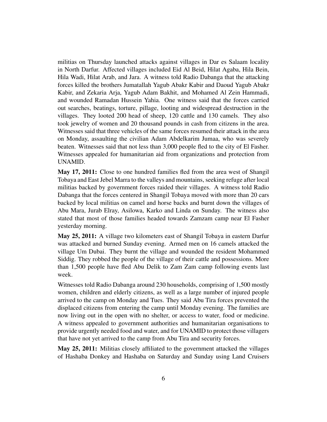militias on Thursday launched attacks against villages in Dar es Salaam locality in North Darfur. Affected villages included Eid Al Beid, Hilat Agaba, Hila Bein, Hila Wadi, Hilat Arab, and Jara. A witness told Radio Dabanga that the attacking forces killed the brothers Jumatallah Yagub Abakr Kabir and Daoud Yagub Abakr Kabir, and Zekaria Arja, Yagub Adam Bakhit, and Mohamed Al Zein Hammadi, and wounded Ramadan Hussein Yahia. One witness said that the forces carried out searches, beatings, torture, pillage, looting and widespread destruction in the villages. They looted 200 head of sheep, 120 cattle and 130 camels. They also took jewelry of women and 20 thousand pounds in cash from citizens in the area. Witnesses said that three vehicles of the same forces resumed their attack in the area on Monday, assaulting the civilian Adam Abdelkarim Jumaa, who was severely beaten. Witnesses said that not less than 3,000 people fled to the city of El Fasher. Witnesses appealed for humanitarian aid from organizations and protection from UNAMID.

May 17, 2011: Close to one hundred families fled from the area west of Shangil Tobaya and East Jebel Marra to the valleys and mountains, seeking refuge after local militias backed by government forces raided their villages. A witness told Radio Dabanga that the forces centered in Shangil Tobaya moved with more than 20 cars backed by local militias on camel and horse backs and burnt down the villages of Abu Mara, Jurab Elray, Asilowa, Karko and Linda on Sunday. The witness also stated that most of those families headed towards Zamzam camp near El Fasher yesterday morning.

May 25, 2011: A village two kilometers east of Shangil Tobaya in eastern Darfur was attacked and burned Sunday evening. Armed men on 16 camels attacked the village Um Dubai. They burnt the village and wounded the resident Mohammed Siddig. They robbed the people of the village of their cattle and possessions. More than 1,500 people have fled Abu Delik to Zam Zam camp following events last week.

Witnesses told Radio Dabanga around 230 households, comprising of 1,500 mostly women, children and elderly citizens, as well as a large number of injured people arrived to the camp on Monday and Tues. They said Abu Tira forces prevented the displaced citizens from entering the camp until Monday evening. The families are now living out in the open with no shelter, or access to water, food or medicine. A witness appealed to government authorities and humanitarian organisations to provide urgently needed food and water, and for UNAMID to protect those villagers that have not yet arrived to the camp from Abu Tira and security forces.

May 25, 2011: Militias closely affiliated to the government attacked the villages of Hashaba Donkey and Hashaba on Saturday and Sunday using Land Cruisers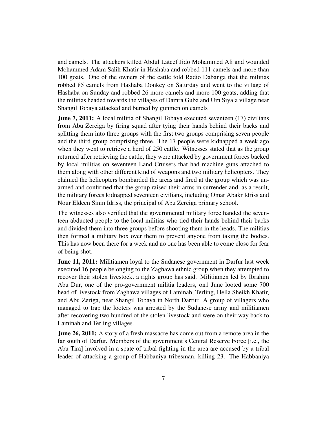and camels. The attackers killed Abdul Lateef Jido Mohammed Ali and wounded Mohammed Adam Salih Khatir in Hashaba and robbed 111 camels and more than 100 goats. One of the owners of the cattle told Radio Dabanga that the militias robbed 85 camels from Hashaba Donkey on Saturday and went to the village of Hashaba on Sunday and robbed 26 more camels and more 100 goats, adding that the militias headed towards the villages of Damra Guba and Um Siyala village near Shangil Tobaya attacked and burned by gunmen on camels

**June 7, 2011:** A local militia of Shangil Tobaya executed seventeen (17) civilians from Abu Zereiga by firing squad after tying their hands behind their backs and splitting them into three groups with the first two groups comprising seven people and the third group comprising three. The 17 people were kidnapped a week ago when they went to retrieve a herd of 250 cattle. Witnesses stated that as the group returned after retrieving the cattle, they were attacked by government forces backed by local militias on seventeen Land Cruisers that had machine guns attached to them along with other different kind of weapons and two military helicopters. They claimed the helicopters bombarded the areas and fired at the group which was unarmed and confirmed that the group raised their arms in surrender and, as a result, the military forces kidnapped seventeen civilians, including Omar Abakr Idriss and Nour Eldeen Sinin Idriss, the principal of Abu Zereiga primary school.

The witnesses also verified that the governmental military force handed the seventeen abducted people to the local militias who tied their hands behind their backs and divided them into three groups before shooting them in the heads. The militias then formed a military box over them to prevent anyone from taking the bodies. This has now been there for a week and no one has been able to come close for fear of being shot.

**June 11, 2011:** Militiamen loyal to the Sudanese government in Darfur last week executed 16 people belonging to the Zaghawa ethnic group when they attempted to recover their stolen livestock, a rights group has said. Militiamen led by Ibrahim Abu Dur, one of the pro-government militia leaders, on1 June looted some 700 head of livestock from Zaghawa villages of Laminah, Terling, Hella Sheikh Khatir, and Abu Zeriga, near Shangil Tobaya in North Darfur. A group of villagers who managed to trap the looters was arrested by the Sudanese army and militiamen after recovering two hundred of the stolen livestock and were on their way back to Laminah and Terling villages.

**June 26, 2011:** A story of a fresh massacre has come out from a remote area in the far south of Darfur. Members of the government's Central Reserve Force [i.e., the Abu Tira] involved in a spate of tribal fighting in the area are accused by a tribal leader of attacking a group of Habbaniya tribesman, killing 23. The Habbaniya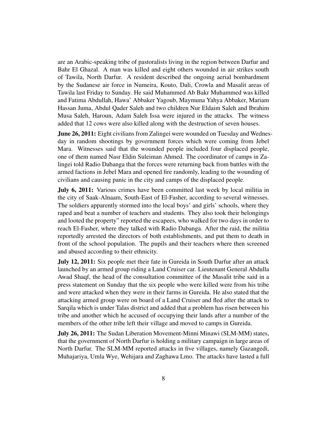are an Arabic-speaking tribe of pastoralists living in the region between Darfur and Bahr El Ghazal. A man was killed and eight others wounded in air strikes south of Tawila, North Darfur. A resident described the ongoing aerial bombardment by the Sudanese air force in Numeira, Kouto, Dali, Crowla and Masalit areas of Tawila last Friday to Sunday. He said Muhammed Ab Bakr Muhammed was killed and Fatima Abdullah, Hawa' Abbaker Yagoub, Maymuna Yahya Abbaker, Mariam Hassan Juma, Abdul Qader Saleh and two children Nur Eldaim Saleh and Ibrahim Musa Saleh, Haroun, Adam Saleh Issa were injured in the attacks. The witness added that 12 cows were also killed along with the destruction of seven houses.

**June 26, 2011:** Eight civilians from Zalingei were wounded on Tuesday and Wednesday in random shootings by government forces which were coming from Jebel Mara. Witnesses said that the wounded people included four displaced people, one of them named Nasr Eldin Suleiman Ahmed. The coordinator of camps in Zalingei told Radio Dabanga that the forces were returning back from battles with the armed factions in Jebel Mara and opened fire randomly, leading to the wounding of civilians and causing panic in the city and camps of the displaced people.

July 6, 2011: Various crimes have been committed last week by local militia in the city of Saak-Alnaam, South-East of El-Fasher, according to several witnesses. The soldiers apparently stormed into the local boys' and girls' schools, where they raped and beat a number of teachers and students. They also took their belongings and looted the property" reported the escapees, who walked for two days in order to reach El-Fasher, where they talked with Radio Dabanga. After the raid, the militia reportedly arrested the directors of both establishments, and put them to death in front of the school population. The pupils and their teachers where then screened and abused according to their ethnicity.

July 12, 2011: Six people met their fate in Gureida in South Darfur after an attack launched by an armed group riding a Land Cruiser car. Lieutenant General Abdulla Awad Shaqf, the head of the consultation committee of the Masalit tribe said in a press statement on Sunday that the six people who were killed were from his tribe and were attacked when they were in their farms in Gureida. He also stated that the attacking armed group were on board of a Land Cruiser and fled after the attack to Sarqila which is under Talas district and added that a problem has risen between his tribe and another which he accused of occupying their lands after a number of the members of the other tribe left their village and moved to camps in Gureida.

July 26, 2011: The Sudan Liberation Movement-Minni Minawi (SLM-MM) states, that the government of North Darfur is holding a military campaign in large areas of North Darfur. The SLM-MM reported attacks in five villages, namely Gazangedi, Muhajariya, Umla Wye, Wehijara and Zaghawa Lmo. The attacks have lasted a full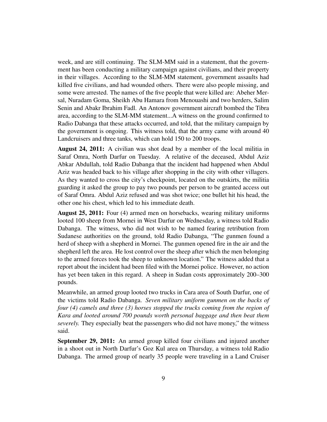week, and are still continuing. The SLM-MM said in a statement, that the government has been conducting a military campaign against civilians, and their property in their villages. According to the SLM-MM statement, government assaults had killed five civilians, and had wounded others. There were also people missing, and some were arrested. The names of the five people that were killed are: Abeher Mersal, Nuradam Goma, Sheikh Abu Hamara from Menouashi and two herders, Salim Senin and Abakr Ibrahim Fadl. An Antonov government aircraft bombed the Tibra area, according to the SLM-MM statement...A witness on the ground confirmed to Radio Dabanga that these attacks occurred, and told, that the military campaign by the government is ongoing. This witness told, that the army came with around 40 Landcruisers and three tanks, which can hold 150 to 200 troops.

August 24, 2011: A civilian was shot dead by a member of the local militia in Saraf Omra, North Darfur on Tuesday. A relative of the deceased, Abdul Aziz Abkar Abdullah, told Radio Dabanga that the incident had happened when Abdul Aziz was headed back to his village after shopping in the city with other villagers. As they wanted to cross the city's checkpoint, located on the outskirts, the militia guarding it asked the group to pay two pounds per person to be granted access out of Saraf Omra. Abdul Aziz refused and was shot twice; one bullet hit his head, the other one his chest, which led to his immediate death.

August 25, 2011: Four (4) armed men on horsebacks, wearing military uniforms looted 100 sheep from Mornei in West Darfur on Wednesday, a witness told Radio Dabanga. The witness, who did not wish to be named fearing retribution from Sudanese authorities on the ground, told Radio Dabanga, "The gunmen found a herd of sheep with a shepherd in Mornei. The gunmen opened fire in the air and the shepherd left the area. He lost control over the sheep after which the men belonging to the armed forces took the sheep to unknown location." The witness added that a report about the incident had been filed with the Mornei police. However, no action has yet been taken in this regard. A sheep in Sudan costs approximately 200–300 pounds.

Meanwhile, an armed group looted two trucks in Cara area of South Darfur, one of the victims told Radio Dabanga. *Seven military uniform gunmen on the backs of four (4) camels and three (3) horses stopped the trucks coming from the region of Kara and looted around 700 pounds worth personal baggage and then beat them severely.* They especially beat the passengers who did not have money," the witness said.

September 29, 2011: An armed group killed four civilians and injured another in a shoot out in North Darfur's Goz Kul area on Thursday, a witness told Radio Dabanga. The armed group of nearly 35 people were traveling in a Land Cruiser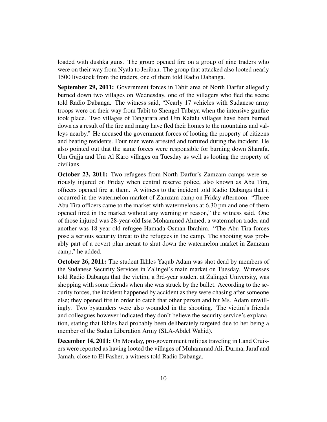loaded with dushka guns. The group opened fire on a group of nine traders who were on their way from Nyala to Jeriban. The group that attacked also looted nearly 1500 livestock from the traders, one of them told Radio Dabanga.

September 29, 2011: Government forces in Tabit area of North Darfur allegedly burned down two villages on Wednesday, one of the villagers who fled the scene told Radio Dabanga. The witness said, "Nearly 17 vehicles with Sudanese army troops were on their way from Tabit to Shengel Tubaya when the intensive gunfire took place. Two villages of Tangarara and Um Kafalu villages have been burned down as a result of the fire and many have fled their homes to the mountains and valleys nearby." He accused the government forces of looting the property of citizens and beating residents. Four men were arrested and tortured during the incident. He also pointed out that the same forces were responsible for burning down Sharafa, Um Gujja and Um Al Karo villages on Tuesday as well as looting the property of civilians.

October 23, 2011: Two refugees from North Darfur's Zamzam camps were seriously injured on Friday when central reserve police, also known as Abu Tira, officers opened fire at them. A witness to the incident told Radio Dabanga that it occurred in the watermelon market of Zamzam camp on Friday afternoon. "Three Abu Tira officers came to the market with watermelons at 6.30 pm and one of them opened fired in the market without any warning or reason," the witness said. One of those injured was 28-year-old Issa Mohammed Ahmed, a watermelon trader and another was 18-year-old refugee Hamada Osman Ibrahim. "The Abu Tira forces pose a serious security threat to the refugees in the camp. The shooting was probably part of a covert plan meant to shut down the watermelon market in Zamzam camp," he added.

October 26, 2011: The student Ikhles Yaqub Adam was shot dead by members of the Sudanese Security Services in Zalingei's main market on Tuesday. Witnesses told Radio Dabanga that the victim, a 3rd-year student at Zalingei University, was shopping with some friends when she was struck by the bullet. According to the security forces, the incident happened by accident as they were chasing after someone else; they opened fire in order to catch that other person and hit Ms. Adam unwillingly. Two bystanders were also wounded in the shooting. The victim's friends and colleagues however indicated they don't believe the security service's explanation, stating that Ikhles had probably been deliberately targeted due to her being a member of the Sudan Liberation Army (SLA-Abdel Wahid).

December 14, 2011: On Monday, pro-government militias traveling in Land Cruisers were reported as having looted the villages of Muhammad Ali, Durma, Jaraf and Jamah, close to El Fasher, a witness told Radio Dabanga.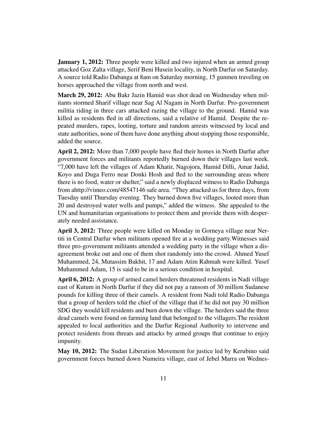**January 1, 2012:** Three people were killed and two injured when an armed group attacked Goz Zalta village, Serif Beni Husein locality, in North Darfur on Saturday. A source told Radio Dabanga at 8am on Saturday morning, 15 gunmen traveling on horses approached the village from north and west.

March 29, 2012: Abu Bakr Jazin Hamid was shot dead on Wednesday when militants stormed Sharif village near Sag Al Nagam in North Darfur. Pro-government militia riding in three cars attacked razing the village to the ground. Hamid was killed as residents fled in all directions, said a relative of Hamid. Despite the repeated murders, rapes, looting, torture and random arrests witnessed by local and state authorities, none of them have done anything about stopping those responsible, added the source.

April 2, 2012: More than 7,000 people have fled their homes in North Darfur after government forces and militants reportedly burned down their villages last week. "7,000 have left the villages of Adam Khatir, Nagojora, Hamid Dilli, Amar Jadid, Koyo and Duga Ferro near Donki Hosh and fled to the surrounding areas where there is no food, water or shelter," said a newly displaced witness to Radio Dabanga from ahttp://vimeo.com/48547146 safe area. "They attacked us for three days, from Tuesday until Thursday evening. They burned down five villages, looted more than 20 and destroyed water wells and pumps," added the witness. She appealed to the UN and humanitarian organisations to protect them and provide them with desperately needed assistance.

April 3, 2012: Three people were killed on Monday in Gorneya village near Nertiti in Central Darfur when militants opened fire at a wedding party.Witnesses said three pro-government militants attended a wedding party in the village when a disagreement broke out and one of them shot randomly into the crowd. Ahmed Yusef Muhammed, 24, Mutassim Bakhit, 17 and Adam Atim Rahmah were killed. Yusef Muhammed Adam, 15 is said to be in a serious condition in hospital.

April 6, 2012: A group of armed camel herders threatened residents in Nadi village east of Kutum in North Darfur if they did not pay a ransom of 30 million Sudanese pounds for killing three of their camels. A resident from Nadi told Radio Dabanga that a group of herders told the chief of the village that if he did not pay 30 million SDG they would kill residents and burn down the village. The herders said the three dead camels were found on farming land that belonged to the villagers.The resident appealed to local authorities and the Darfur Regional Authority to intervene and protect residents from threats and attacks by armed groups that continue to enjoy impunity.

May 10, 2012: The Sudan Liberation Movement for justice led by Kerubino said government forces burned down Numeira village, east of Jebel Marra on Wednes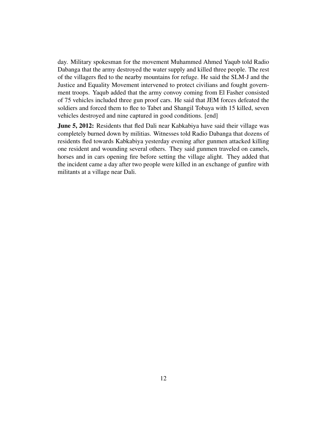day. Military spokesman for the movement Muhammed Ahmed Yaqub told Radio Dabanga that the army destroyed the water supply and killed three people. The rest of the villagers fled to the nearby mountains for refuge. He said the SLM-J and the Justice and Equality Movement intervened to protect civilians and fought government troops. Yaqub added that the army convoy coming from El Fasher consisted of 75 vehicles included three gun proof cars. He said that JEM forces defeated the soldiers and forced them to flee to Tabet and Shangil Tobaya with 15 killed, seven vehicles destroyed and nine captured in good conditions. [end]

June 5, 2012: Residents that fled Dali near Kabkabiya have said their village was completely burned down by militias. Witnesses told Radio Dabanga that dozens of residents fled towards Kabkabiya yesterday evening after gunmen attacked killing one resident and wounding several others. They said gunmen traveled on camels, horses and in cars opening fire before setting the village alight. They added that the incident came a day after two people were killed in an exchange of gunfire with militants at a village near Dali.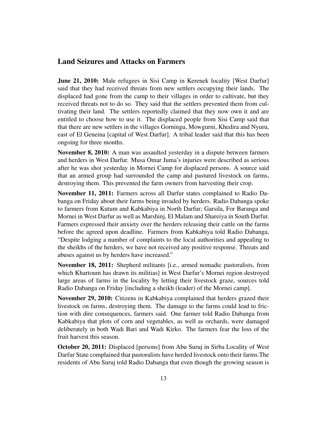#### <span id="page-12-0"></span>Land Seizures and Attacks on Farmers

June 21, 2010: Male refugees in Sisi Camp in Kerenek locality [West Darfur] said that they had received threats from new settlers occupying their lands. The displaced had gone from the camp to their villages in order to cultivate, but they received threats not to do so. They said that the settlers prevented them from cultivating their land. The settlers reportedly claimed that they now own it and are entitled to choose how to use it. The displaced people from Sisi Camp said that that there are new settlers in the villages Gorningu, Mowgurni, Khedira and Nyuru, east of El Geneina [capital of West Darfur]. A tribal leader said that this has been ongoing for three months.

November 8, 2010: A man was assaulted yesterday in a dispute between farmers and herders in West Darfur. Musa Omar Juma's injuries were described as serious after he was shot yesterday in Mornei Camp for displaced persons. A source said that an armed group had surrounded the camp and pastured livestock on farms, destroying them. This prevented the farm owners from harvesting their crop.

November 11, 2011: Farmers across all Darfur states complained to Radio Dabanga on Friday about their farms being invaded by herders. Radio Dabanga spoke to farmers from Kutum and Kabkabiya in North Darfur; Garsila, For Baranga and Mornei in West Darfur as well as Marshinj, El Malam and Shareiya in South Darfur. Farmers expressed their anxiety over the herders releasing their cattle on the farms before the agreed upon deadline. Farmers from Kabkabiya told Radio Dabanga, "Despite lodging a number of complaints to the local authorities and appealing to the sheikhs of the herders, we have not received any positive response. Threats and abuses against us by herders have increased."

November 18, 2011: Shepherd militants [i.e., armed nomadic pastoralists, from which Khartoum has drawn its militias] in West Darfur's Mornei region destroyed large areas of farms in the locality by letting their livestock graze, sources told Radio Dabanga on Friday [including a sheikh (leader) of the Mornei camp].

November 29, 2010: Citizens in Kabkabiya complained that herders grazed their livestock on farms, destroying them. The damage to the farms could lead to friction with dire consequences, farmers said. One farmer told Radio Dabanga from Kabkabiya that plots of corn and vegetables, as well as orchards, were damaged deliberately in both Wadi Bari and Wadi Kirko. The farmers fear the loss of the fruit harvest this season.

October 20, 2011: Displaced [persons] from Abu Suruj in Sirba Locality of West Darfur State complained that pastoralists have herded livestock onto their farms.The residents of Abu Suruj told Radio Dabanga that even though the growing season is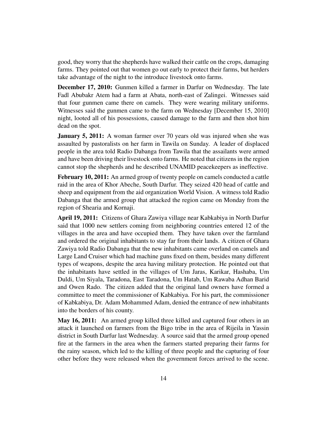good, they worry that the shepherds have walked their cattle on the crops, damaging farms. They pointed out that women go out early to protect their farms, but herders take advantage of the night to the introduce livestock onto farms.

December 17, 2010: Gunmen killed a farmer in Darfur on Wednesday. The late Fadl Abubakr Atem had a farm at Abata, north-east of Zalingei. Witnesses said that four gunmen came there on camels. They were wearing military uniforms. Witnesses said the gunmen came to the farm on Wednesday [December 15, 2010] night, looted all of his possessions, caused damage to the farm and then shot him dead on the spot.

**January 5, 2011:** A woman farmer over 70 years old was injured when she was assaulted by pastoralists on her farm in Tawila on Sunday. A leader of displaced people in the area told Radio Dabanga from Tawila that the assailants were armed and have been driving their livestock onto farms. He noted that citizens in the region cannot stop the shepherds and he described UNAMID peacekeepers as ineffective.

February 10, 2011: An armed group of twenty people on camels conducted a cattle raid in the area of Khor Abeche, South Darfur. They seized 420 head of cattle and sheep and equipment from the aid organization World Vision. A witness told Radio Dabanga that the armed group that attacked the region came on Monday from the region of Shearia and Kornaji.

April 19, 2011: Citizens of Ghara Zawiya village near Kabkabiya in North Darfur said that 1000 new settlers coming from neighboring countries entered 12 of the villages in the area and have occupied them. They have taken over the farmland and ordered the original inhabitants to stay far from their lands. A citizen of Ghara Zawiya told Radio Dabanga that the new inhabitants came overland on camels and Large Land Cruiser which had machine guns fixed on them, besides many different types of weapons, despite the area having military protection. He pointed out that the inhabitants have settled in the villages of Um Jaras, Karikar, Hashaba, Um Duldi, Um Siyala, Taradona, East Taradona, Um Hatab, Um Rawaba Adhan Barid and Owen Rado. The citizen added that the original land owners have formed a committee to meet the commissioner of Kabkabiya. For his part, the commissioner of Kabkabiya, Dr. Adam Mohammed Adam, denied the entrance of new inhabitants into the borders of his county.

May 16, 2011: An armed group killed three killed and captured four others in an attack it launched on farmers from the Bigo tribe in the area of Rijeila in Yassin district in South Darfur last Wednesday. A source said that the armed group opened fire at the farmers in the area when the farmers started preparing their farms for the rainy season, which led to the killing of three people and the capturing of four other before they were released when the government forces arrived to the scene.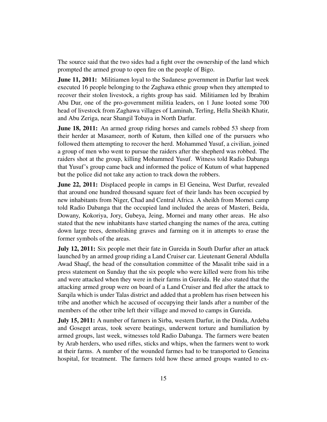The source said that the two sides had a fight over the ownership of the land which prompted the armed group to open fire on the people of Bigo.

**June 11, 2011:** Militiamen loyal to the Sudanese government in Darfur last week executed 16 people belonging to the Zaghawa ethnic group when they attempted to recover their stolen livestock, a rights group has said. Militiamen led by Ibrahim Abu Dur, one of the pro-government militia leaders, on 1 June looted some 700 head of livestock from Zaghawa villages of Laminah, Terling, Hella Sheikh Khatir, and Abu Zeriga, near Shangil Tobaya in North Darfur.

**June 18, 2011:** An armed group riding horses and camels robbed 53 sheep from their herder at Masameer, north of Kutum, then killed one of the pursuers who followed them attempting to recover the herd. Mohammed Yusuf, a civilian, joined a group of men who went to pursue the raiders after the shepherd was robbed. The raiders shot at the group, killing Mohammed Yusuf. Witness told Radio Dabanga that Yusuf's group came back and informed the police of Kutum of what happened but the police did not take any action to track down the robbers.

June 22, 2011: Displaced people in camps in El Geneina, West Darfur, revealed that around one hundred thousand square feet of their lands has been occupied by new inhabitants from Niger, Chad and Central Africa. A sheikh from Mornei camp told Radio Dabanga that the occupied land included the areas of Masteri, Beida, Dowany, Kokoriya, Jory, Gubeya, Jeing, Mornei and many other areas. He also stated that the new inhabitants have started changing the names of the area, cutting down large trees, demolishing graves and farming on it in attempts to erase the former symbols of the areas.

July 12, 2011: Six people met their fate in Gureida in South Darfur after an attack launched by an armed group riding a Land Cruiser car. Lieutenant General Abdulla Awad Shaqf, the head of the consultation committee of the Masalit tribe said in a press statement on Sunday that the six people who were killed were from his tribe and were attacked when they were in their farms in Gureida. He also stated that the attacking armed group were on board of a Land Cruiser and fled after the attack to Sarqila which is under Talas district and added that a problem has risen between his tribe and another which he accused of occupying their lands after a number of the members of the other tribe left their village and moved to camps in Gureida.

July 15, 2011: A number of farmers in Sirba, western Darfur, in the Dinda, Ardeba and Goseget areas, took severe beatings, underwent torture and humiliation by armed groups, last week, witnesses told Radio Dabanga. The farmers were beaten by Arab herders, who used rifles, sticks and whips, when the farmers went to work at their farms. A number of the wounded farmes had to be transported to Geneina hospital, for treatment. The farmers told how these armed groups wanted to ex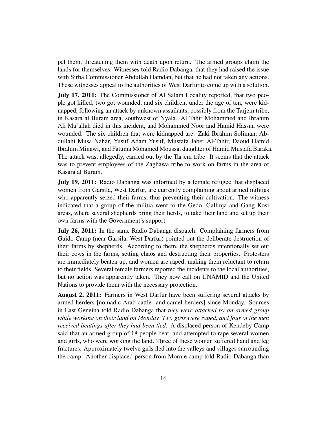pel them, threatening them with death upon return. The armed groups claim the lands for themselves. Witnesses told Radio Dabanga, that they had raised the issue with Sirba Commissioner Abdullah Hamdan, but that he had not taken any actions. These witnesses appeal to the authorities of West Darfur to come up with a solution.

July 17, 2011: The Commissioner of Al Salam Locality reported, that two people got killed, two got wounded, and six children, under the age of ten, were kidnapped, following an attack by unknown assailants, possibly from the Tarjem tribe, in Kasara al Buram area, southwest of Nyala. Al Tahir Mohammed and Ibrahim Ali Ma'allah died in this incident, and Mohammed Noor and Hamid Hassan were wounded. The six children that were kidnapped are: Zaki Ibrahim Soliman, Abdullahi Musa Nahar, Yusuf Adam Yusuf, Mustafa Jaber Al-Tahir, Daoud Hamid Ibrahim Minawi, and Fatuma Mohamed Moussa, daughter of Hamid Mustafa Baraka. The attack was, allegedly, carried out by the Tarjem tribe. It seems that the attack was to prevent employees of the Zaghawa tribe to work on farms in the area of Kasara al Buram.

July 19, 2011: Radio Dabanga was informed by a female refugee that displaced women from Garsila, West Darfur, are currently complaining about armed militias who apparently seized their farms, thus preventing their cultivation. The witness indicated that a group of the militia went to the Gedo, Gallinja and Gang Kosi areas, where several shepherds bring their herds, to take their land and set up their own farms with the Government's support.

July 26, 2011: In the same Radio Dabanga dispatch: Complaining farmers from Guido Camp (near Garsila, West Darfur) pointed out the deliberate destruction of their farms by shepherds. According to them, the shepherds intentionally set out their cows in the farms, setting chaos and destructing their properties. Protesters are immediately beaten up, and women are raped, making them reluctant to return to their fields. Several female farmers reported the incidents to the local authorities, but no action was apparently taken. They now call on UNAMID and the United Nations to provide them with the necessary protection.

August 2, 2011: Farmers in West Darfur have been suffering several attacks by armed herders [nomadic Arab cattle- and camel-herders] since Monday. Sources in East Geneina told Radio Dabanga that *they were attacked by an armed group while working on their land on Monday. Two girls were raped, and four of the men received beatings after they had been tied*. A displaced person of Kendeby Camp said that an armed group of 18 people beat, and attempted to rape several women and girls, who were working the land. Three of these women suffered hand and leg fractures. Approximately twelve girls fled into the valleys and villages surrounding the camp. Another displaced person from Mornie camp told Radio Dabanga than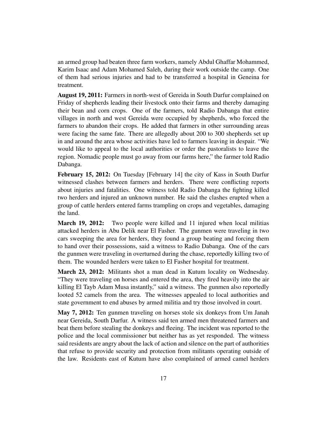an armed group had beaten three farm workers, namely Abdul Ghaffar Mohammed, Karim Isaac and Adam Mohamed Saleh, during their work outside the camp. One of them had serious injuries and had to be transferred a hospital in Geneina for treatment.

August 19, 2011: Farmers in north-west of Gereida in South Darfur complained on Friday of shepherds leading their livestock onto their farms and thereby damaging their bean and corn crops. One of the farmers, told Radio Dabanga that entire villages in north and west Gereida were occupied by shepherds, who forced the farmers to abandon their crops. He added that farmers in other surrounding areas were facing the same fate. There are allegedly about 200 to 300 shepherds set up in and around the area whose activities have led to farmers leaving in despair. "We would like to appeal to the local authorities or order the pastoralists to leave the region. Nomadic people must go away from our farms here," the farmer told Radio Dabanga.

February 15, 2012: On Tuesday [February 14] the city of Kass in South Darfur witnessed clashes between farmers and herders. There were conflicting reports about injuries and fatalities. One witness told Radio Dabanga the fighting killed two herders and injured an unknown number. He said the clashes erupted when a group of cattle herders entered farms trampling on crops and vegetables, damaging the land.

**March 19, 2012:** Two people were killed and 11 injured when local militias attacked herders in Abu Delik near El Fasher. The gunmen were traveling in two cars sweeping the area for herders, they found a group beating and forcing them to hand over their possessions, said a witness to Radio Dabanga. One of the cars the gunmen were traveling in overturned during the chase, reportedly killing two of them. The wounded herders were taken to El Fasher hospital for treatment.

March 23, 2012: Militants shot a man dead in Kutum locality on Wednesday. "They were traveling on horses and entered the area, they fired heavily into the air killing El Tayb Adam Musa instantly," said a witness. The gunmen also reportedly looted 52 camels from the area. The witnesses appealed to local authorities and state government to end abuses by armed militia and try those involved in court.

May 7, 2012: Ten gunmen traveling on horses stole six donkeys from Um Janah near Gereida, South Darfur. A witness said ten armed men threatened farmers and beat them before stealing the donkeys and fleeing. The incident was reported to the police and the local commissioner but neither has as yet responded. The witness said residents are angry about the lack of action and silence on the part of authorities that refuse to provide security and protection from militants operating outside of the law. Residents east of Kutum have also complained of armed camel herders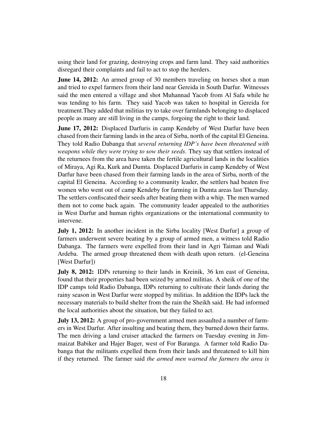using their land for grazing, destroying crops and farm land. They said authorities disregard their complaints and fail to act to stop the herders.

**June 14, 2012:** An armed group of 30 members traveling on horses shot a man and tried to expel farmers from their land near Gereida in South Darfur. Witnesses said the men entered a village and shot Muhannad Yacob from Al Safa while he was tending to his farm. They said Yacob was taken to hospital in Gereida for treatment.They added that militias try to take over farmlands belonging to displaced people as many are still living in the camps, forgoing the right to their land.

**June 17, 2012:** Displaced Darfuris in camp Kendeby of West Darfur have been chased from their farming lands in the area of Sirba, north of the capital El Geneina. They told Radio Dabanga that *several returning IDP's have been threatened with weapons while they were trying to sow their seeds*. They say that settlers instead of the returnees from the area have taken the fertile agricultural lands in the localities of Miraya, Agi Ra, Kurk and Dumta. Displaced Darfuris in camp Kendeby of West Darfur have been chased from their farming lands in the area of Sirba, north of the capital El Geneina. According to a community leader, the settlers had beaten five women who went out of camp Kendeby for farming in Dumta areas last Thursday. The settlers confiscated their seeds after beating them with a whip. The men warned them not to come back again. The community leader appealed to the authorities in West Darfur and human rights organizations or the international community to intervene.

July 1, 2012: In another incident in the Sirba locality [West Darfur] a group of farmers underwent severe beating by a group of armed men, a witness told Radio Dabanga. The farmers were expelled from their land in Agri Taiman and Wadi Ardeba. The armed group threatened them with death upon return. (el-Geneina [West Darfur])

July 8, 2012: IDPs returning to their lands in Kreinik, 36 km east of Geneina, found that their properties had been seized by armed militias. A sheik of one of the IDP camps told Radio Dabanga, IDPs returning to cultivate their lands during the rainy season in West Darfur were stopped by militias. In addition the IDPs lack the necessary materials to build shelter from the rain the Sheikh said. He had informed the local authorities about the situation, but they failed to act.

July 13, 2012: A group of pro-government armed men assaulted a number of farmers in West Darfur. After insulting and beating them, they burned down their farms. The men driving a land cruiser attacked the farmers on Tuesday evening in Jimmaizat Babiker and Hajer Bager, west of For Baranga. A farmer told Radio Dabanga that the militants expelled them from their lands and threatened to kill him if they returned. The farmer said *the armed men warned the farmers the area is*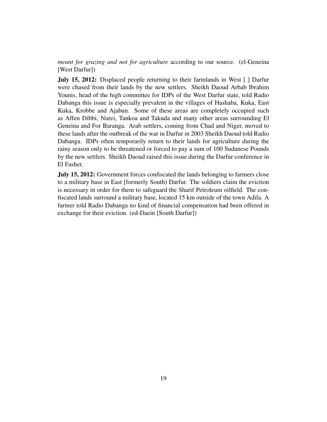*meant for grazing and not for agriculture* according to our source. (el-Geneina [West Darfur])

**July 15, 2012:** Displaced people returning to their farmlands in West [ ] Darfur were chased from their lands by the new settlers. Sheikh Daoud Arbab Ibrahim Younis, head of the high committee for IDPs of the West Darfur state, told Radio Dabanga this issue is especially prevalent in the villages of Hashaba, Kuka, East Kuka, Krobbe and Ajabun. Some of these areas are completely occupied such as Affen Dibbi, Nurei, Tankoa and Takuda and many other areas surrounding El Geneina and For Baranga. Arab settlers, coming from Chad and Niger, moved to these lands after the outbreak of the war in Darfur in 2003 Sheikh Daoud told Radio Dabanga. IDPs often temporarily return to their lands for agriculture during the rainy season only to be threatened or forced to pay a sum of 100 Sudanese Pounds by the new settlers. Sheikh Daoud raised this issue during the Darfur conference in El Fasher.

July 15, 2012: Government forces confiscated the lands belonging to farmers close to a military base in East [formerly South) Darfur. The soldiers claim the eviction is necessary in order for them to safeguard the Sharif Petroleum oilfield. The confiscated lands surround a military base, located 15 km outside of the town Adila. A farmer told Radio Dabanga no kind of financial compensation had been offered in exchange for their eviction. (ed-Daein [South Darfur])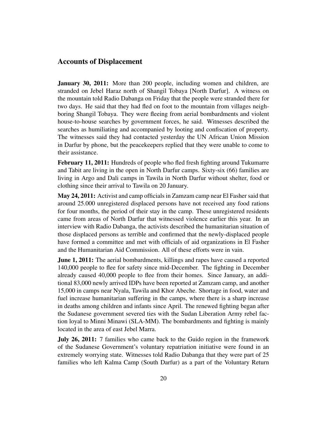#### <span id="page-19-0"></span>Accounts of Displacement

**January 30, 2011:** More than 200 people, including women and children, are stranded on Jebel Haraz north of Shangil Tobaya [North Darfur]. A witness on the mountain told Radio Dabanga on Friday that the people were stranded there for two days. He said that they had fled on foot to the mountain from villages neighboring Shangil Tobaya. They were fleeing from aerial bombardments and violent house-to-house searches by government forces, he said. Witnesses described the searches as humiliating and accompanied by looting and confiscation of property. The witnesses said they had contacted yesterday the UN African Union Mission in Darfur by phone, but the peacekeepers replied that they were unable to come to their assistance.

February 11, 2011: Hundreds of people who fled fresh fighting around Tukumarre and Tabit are living in the open in North Darfur camps. Sixty-six (66) families are living in Argo and Dali camps in Tawila in North Darfur without shelter, food or clothing since their arrival to Tawila on 20 January.

May 24, 2011: Activist and camp officials in Zamzam camp near El Fasher said that around 25.000 unregistered displaced persons have not received any food rations for four months, the period of their stay in the camp. These unregistered residents came from areas of North Darfur that witnessed violence earlier this year. In an interview with Radio Dabanga, the activists described the humanitarian situation of those displaced persons as terrible and confirmed that the newly-displaced people have formed a committee and met with officials of aid organizations in El Fasher and the Humanitarian Aid Commission. All of these efforts were in vain.

**June 1, 2011:** The aerial bombardments, killings and rapes have caused a reported 140,000 people to flee for safety since mid-December. The fighting in December already caused 40,000 people to flee from their homes. Since January, an additional 83,000 newly arrived IDPs have been reported at Zamzam camp, and another 15,000 in camps near Nyala, Tawila and Khor Abeche. Shortage in food, water and fuel increase humanitarian suffering in the camps, where there is a sharp increase in deaths among children and infants since April. The renewed fighting began after the Sudanese government severed ties with the Sudan Liberation Army rebel faction loyal to Minni Minawi (SLA-MM). The bombardments and fighting is mainly located in the area of east Jebel Marra.

**July 26, 2011:** 7 families who came back to the Guido region in the framework of the Sudanese Government's voluntary repatriation initiative were found in an extremely worrying state. Witnesses told Radio Dabanga that they were part of 25 families who left Kalma Camp (South Darfur) as a part of the Voluntary Return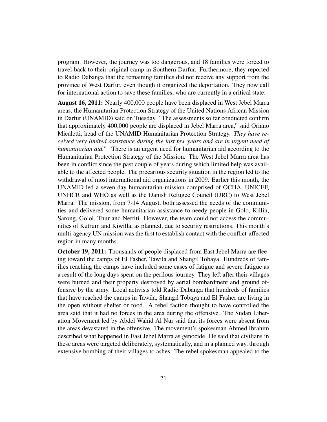program. However, the journey was too dangerous, and 18 families were forced to travel back to their original camp in Southern Darfur. Furthermore, they reported to Radio Dabanga that the remaining families did not receive any support from the province of West Darfur, even though it organized the deportation. They now call for international action to save these families, who are currently in a critical state.

August 16, 2011: Nearly 400,000 people have been displaced in West Jebel Marra areas, the Humanitarian Protection Strategy of the United Nations African Mission in Darfur (UNAMID) said on Tuesday. "The assessments so far conducted confirm that approximately 400,000 people are displaced in Jebel Marra area," said Oriano Micaletti, head of the UNAMID Humanitarian Protection Strategy. *They have received very limited assistance during the last few years and are in urgent need of humanitarian aid."* There is an urgent need for humanitarian aid according to the Humanitarian Protection Strategy of the Mission. The West Jebel Marra area has been in conflict since the past couple of years during which limited help was available to the affected people. The precarious security situation in the region led to the withdrawal of most international aid organizations in 2009. Earlier this month, the UNAMID led a seven-day humanitarian mission comprised of OCHA, UNICEF, UNHCR and WHO as well as the Danish Refugee Council (DRC) to West Jebel Marra. The mission, from 7-14 August, both assessed the needs of the communities and delivered some humanitarian assistance to needy people in Golo, Killin, Sarong, Golol, Thur and Nertiti. However, the team could not access the communities of Kutrum and Kiwilla, as planned, due to security restrictions. This month's multi-agency UN mission was the first to establish contact with the conflict-affected region in many months.

October 19, 2011: Thousands of people displaced from East Jebel Marra are fleeing toward the camps of El Fasher, Tawila and Shangil Tobaya. Hundreds of families reaching the camps have included some cases of fatigue and severe fatigue as a result of the long days spent on the perilous journey. They left after their villages were burned and their property destroyed by aerial bombardment and ground offensive by the army. Local activists told Radio Dabanga that hundreds of families that have reached the camps in Tawila, Shangil Tobaya and El Fasher are living in the open without shelter or food. A rebel faction thought to have controlled the area said that it had no forces in the area during the offensive. The Sudan Liberation Movement led by Abdel Wahid Al Nur said that its forces were absent from the areas devastated in the offensive. The movement's spokesman Ahmed Ibrahim described what happened in East Jebel Marra as genocide. He said that civilians in these areas were targeted deliberately, systematically, and in a planned way, through extensive bombing of their villages to ashes. The rebel spokesman appealed to the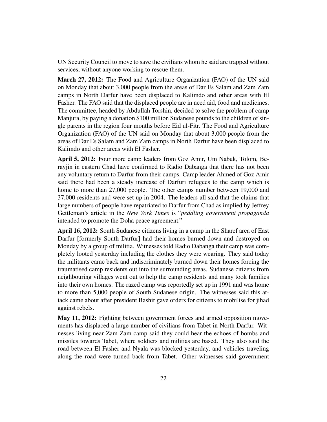UN Security Council to move to save the civilians whom he said are trapped without services, without anyone working to rescue them.

March 27, 2012: The Food and Agriculture Organization (FAO) of the UN said on Monday that about 3,000 people from the areas of Dar Es Salam and Zam Zam camps in North Darfur have been displaced to Kalimdo and other areas with El Fasher. The FAO said that the displaced people are in need aid, food and medicines. The committee, headed by Abdullah Torshin, decided to solve the problem of camp Manjura, by paying a donation \$100 million Sudanese pounds to the children of single parents in the region four months before Eid ul-Fitr. The Food and Agriculture Organization (FAO) of the UN said on Monday that about 3,000 people from the areas of Dar Es Salam and Zam Zam camps in North Darfur have been displaced to Kalimdo and other areas with El Fasher.

April 5, 2012: Four more camp leaders from Goz Amir, Um Nabuk, Tolom, Berayjin in eastern Chad have confirmed to Radio Dabanga that there has not been any voluntary return to Darfur from their camps. Camp leader Ahmed of Goz Amir said there had been a steady increase of Darfuri refugees to the camp which is home to more than 27,000 people. The other camps number between 19,000 and 37,000 residents and were set up in 2004. The leaders all said that the claims that large numbers of people have repatriated to Darfur from Chad as implied by Jeffrey Gettleman's article in the *New York Times* is "*peddling government propaganda* intended to promote the Doha peace agreement."

April 16, 2012: South Sudanese citizens living in a camp in the Sharef area of East Darfur [formerly South Darfur] had their homes burned down and destroyed on Monday by a group of militia. Witnesses told Radio Dabanga their camp was completely looted yesterday including the clothes they were wearing. They said today the militants came back and indiscriminately burned down their homes forcing the traumatised camp residents out into the surrounding areas. Sudanese citizens from neighbouring villages went out to help the camp residents and many took families into their own homes. The razed camp was reportedly set up in 1991 and was home to more than 5,000 people of South Sudanese origin. The witnesses said this attack came about after president Bashir gave orders for citizens to mobilise for jihad against rebels.

May 11, 2012: Fighting between government forces and armed opposition movements has displaced a large number of civilians from Tabet in North Darfur. Witnesses living near Zam Zam camp said they could hear the echoes of bombs and missiles towards Tabet, where soldiers and militias are based. They also said the road between El Fasher and Nyala was blocked yesterday, and vehicles traveling along the road were turned back from Tabet. Other witnesses said government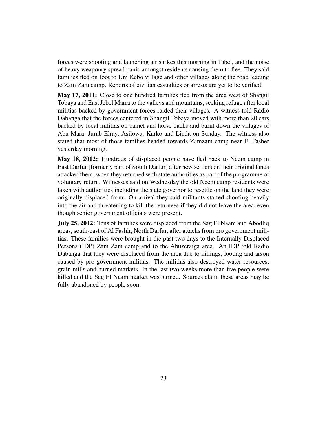forces were shooting and launching air strikes this morning in Tabet, and the noise of heavy weaponry spread panic amongst residents causing them to flee. They said families fled on foot to Um Kebo village and other villages along the road leading to Zam Zam camp. Reports of civilian casualties or arrests are yet to be verified.

May 17, 2011: Close to one hundred families fled from the area west of Shangil Tobaya and East Jebel Marra to the valleys and mountains, seeking refuge after local militias backed by government forces raided their villages. A witness told Radio Dabanga that the forces centered in Shangil Tobaya moved with more than 20 cars backed by local militias on camel and horse backs and burnt down the villages of Abu Mara, Jurab Elray, Asilowa, Karko and Linda on Sunday. The witness also stated that most of those families headed towards Zamzam camp near El Fasher yesterday morning.

May 18, 2012: Hundreds of displaced people have fled back to Neem camp in East Darfur [formerly part of South Darfur] after new settlers on their original lands attacked them, when they returned with state authorities as part of the programme of voluntary return. Witnesses said on Wednesday the old Neem camp residents were taken with authorities including the state governor to resettle on the land they were originally displaced from. On arrival they said militants started shooting heavily into the air and threatening to kill the returnees if they did not leave the area, even though senior government officials were present.

July 25, 2012: Tens of families were displaced from the Sag El Naam and Abodliq areas, south-east of Al Fashir, North Darfur, after attacks from pro government militias. These families were brought in the past two days to the Internally Displaced Persons (IDP) Zam Zam camp and to the Abuzeraiga area. An IDP told Radio Dabanga that they were displaced from the area due to killings, looting and arson caused by pro government militias. The militias also destroyed water resources, grain mills and burned markets. In the last two weeks more than five people were killed and the Sag El Naam market was burned. Sources claim these areas may be fully abandoned by people soon.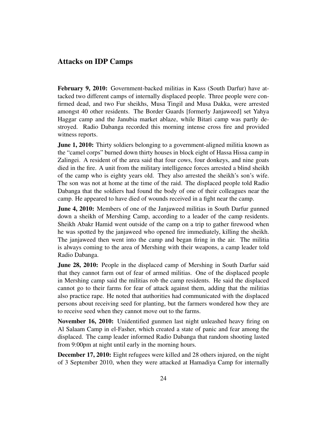#### <span id="page-23-0"></span>Attacks on IDP Camps

February 9, 2010: Government-backed militias in Kass (South Darfur) have attacked two different camps of internally displaced people. Three people were confirmed dead, and two Fur sheikhs, Musa Tingil and Musa Dakka, were arrested amongst 40 other residents. The Border Guards [formerly Janjaweed] set Yahya Haggar camp and the Janubia market ablaze, while Bitari camp was partly destroyed. Radio Dabanga recorded this morning intense cross fire and provided witness reports.

**June 1, 2010:** Thirty soldiers belonging to a government-aligned militia known as the "camel corps" burned down thirty houses in block eight of Hassa Hissa camp in Zalingei. A resident of the area said that four cows, four donkeys, and nine goats died in the fire. A unit from the military intelligence forces arrested a blind sheikh of the camp who is eighty years old. They also arrested the sheikh's son's wife. The son was not at home at the time of the raid. The displaced people told Radio Dabanga that the soldiers had found the body of one of their colleagues near the camp. He appeared to have died of wounds received in a fight near the camp.

**June 4, 2010:** Members of one of the Janjaweed militias in South Darfur gunned down a sheikh of Mershing Camp, according to a leader of the camp residents. Sheikh Abakr Hamid went outside of the camp on a trip to gather firewood when he was spotted by the janjaweed who opened fire immediately, killing the sheikh. The janjaweed then went into the camp and began firing in the air. The militia is always coming to the area of Mershing with their weapons, a camp leader told Radio Dabanga.

**June 28, 2010:** People in the displaced camp of Mershing in South Darfur said that they cannot farm out of fear of armed militias. One of the displaced people in Mershing camp said the militias rob the camp residents. He said the displaced cannot go to their farms for fear of attack against them, adding that the militias also practice rape. He noted that authorities had communicated with the displaced persons about receiving seed for planting, but the farmers wondered how they are to receive seed when they cannot move out to the farms.

November 16, 2010: Unidentified gunmen last night unleashed heavy firing on Al Salaam Camp in el-Fasher, which created a state of panic and fear among the displaced. The camp leader informed Radio Dabanga that random shooting lasted from 9:00pm at night until early in the morning hours.

December 17, 2010: Eight refugees were killed and 28 others injured, on the night of 3 September 2010, when they were attacked at Hamadiya Camp for internally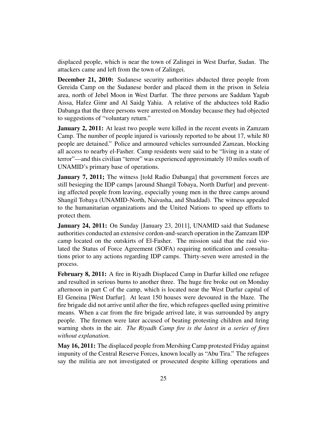displaced people, which is near the town of Zalingei in West Darfur, Sudan. The attackers came and left from the town of Zalingei.

December 21, 2010: Sudanese security authorities abducted three people from Gereida Camp on the Sudanese border and placed them in the prison in Seleia area, north of Jebel Moon in West Darfur. The three persons are Saddam Yagub Aissa, Hafez Gimr and Al Saidg Yahia. A relative of the abductees told Radio Dabanga that the three persons were arrested on Monday because they had objected to suggestions of "voluntary return."

**January 2, 2011:** At least two people were killed in the recent events in Zamzam Camp. The number of people injured is variously reported to be about 17, while 80 people are detained." Police and armoured vehicles surrounded Zamzan, blocking all access to nearby el-Fasher. Camp residents were said to be "living in a state of terror"—and this civilian "terror" was experienced approximately 10 miles south of UNAMID's primary base of operations.

**January 7, 2011;** The witness [told Radio Dabanga] that government forces are still besieging the IDP camps [around Shangil Tobaya, North Darfur] and preventing affected people from leaving, especially young men in the three camps around Shangil Tobaya (UNAMID-North, Naivasha, and Shaddad). The witness appealed to the humanitarian organizations and the United Nations to speed up efforts to protect them.

January 24, 2011: On Sunday [January 23, 2011], UNAMID said that Sudanese authorities conducted an extensive cordon-and-search operation in the Zamzam IDP camp located on the outskirts of El-Fasher. The mission said that the raid violated the Status of Force Agreement (SOFA) requiring notification and consultations prior to any actions regarding IDP camps. Thirty-seven were arrested in the process.

February 8, 2011: A fire in Riyadh Displaced Camp in Darfur killed one refugee and resulted in serious burns to another three. The huge fire broke out on Monday afternoon in part C of the camp, which is located near the West Darfur capital of El Geneina [West Darfur]. At least 150 houses were devoured in the blaze. The fire brigade did not arrive until after the fire, which refugees quelled using primitive means. When a car from the fire brigade arrived late, it was surrounded by angry people. The firemen were later accused of beating protesting children and firing warning shots in the air. *The Riyadh Camp fire is the latest in a series of fires without explanation*.

May 16, 2011: The displaced people from Mershing Camp protested Friday against impunity of the Central Reserve Forces, known locally as "Abu Tira." The refugees say the militia are not investigated or prosecuted despite killing operations and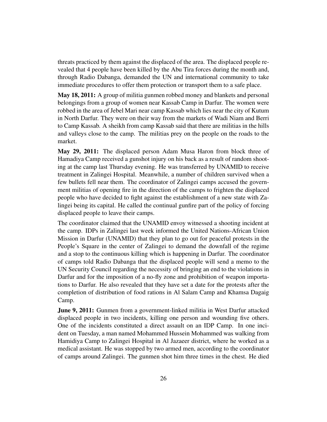threats practiced by them against the displaced of the area. The displaced people revealed that 4 people have been killed by the Abu Tira forces during the month and, through Radio Dabanga, demanded the UN and international community to take immediate procedures to offer them protection or transport them to a safe place.

May 18, 2011: A group of militia gunmen robbed money and blankets and personal belongings from a group of women near Kassab Camp in Darfur. The women were robbed in the area of Jebel Mari near camp Kassab which lies near the city of Kutum in North Darfur. They were on their way from the markets of Wadi Niam and Berri to Camp Kassab. A sheikh from camp Kassab said that there are militias in the hills and valleys close to the camp. The militias prey on the people on the roads to the market.

May 29, 2011: The displaced person Adam Musa Haron from block three of Hamadiya Camp received a gunshot injury on his back as a result of random shooting at the camp last Thursday evening. He was transferred by UNAMID to receive treatment in Zalingei Hospital. Meanwhile, a number of children survived when a few bullets fell near them. The coordinator of Zalingei camps accused the government militias of opening fire in the direction of the camps to frighten the displaced people who have decided to fight against the establishment of a new state with Zalingei being its capital. He called the continual gunfire part of the policy of forcing displaced people to leave their camps.

The coordinator claimed that the UNAMID envoy witnessed a shooting incident at the camp. IDPs in Zalingei last week informed the United Nations-African Union Mission in Darfur (UNAMID) that they plan to go out for peaceful protests in the People's Square in the center of Zalingei to demand the downfall of the regime and a stop to the continuous killing which is happening in Darfur. The coordinator of camps told Radio Dabanga that the displaced people will send a memo to the UN Security Council regarding the necessity of bringing an end to the violations in Darfur and for the imposition of a no-fly zone and prohibition of weapon importations to Darfur. He also revealed that they have set a date for the protests after the completion of distribution of food rations in Al Salam Camp and Khamsa Dagaig Camp.

**June 9, 2011:** Gunmen from a government-linked militia in West Darfur attacked displaced people in two incidents, killing one person and wounding five others. One of the incidents constituted a direct assault on an IDP Camp. In one incident on Tuesday, a man named Mohammed Hussein Mohammed was walking from Hamidiya Camp to Zalingei Hospital in Al Jazaeer district, where he worked as a medical assistant. He was stopped by two armed men, according to the coordinator of camps around Zalingei. The gunmen shot him three times in the chest. He died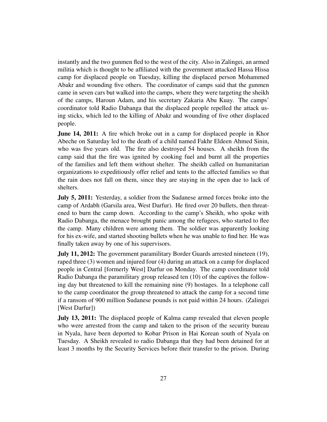instantly and the two gunmen fled to the west of the city. Also in Zalingei, an armed militia which is thought to be affiliated with the government attacked Hassa Hissa camp for displaced people on Tuesday, killing the displaced person Mohammed Abakr and wounding five others. The coordinator of camps said that the gunmen came in seven cars but walked into the camps, where they were targeting the sheikh of the camps, Haroun Adam, and his secretary Zakaria Abu Kuay. The camps' coordinator told Radio Dabanga that the displaced people repelled the attack using sticks, which led to the killing of Abakr and wounding of five other displaced people.

**June 14, 2011:** A fire which broke out in a camp for displaced people in Khor Abeche on Saturday led to the death of a child named Fakhr Eldeen Ahmed Sinin, who was five years old. The fire also destroyed 54 houses. A sheikh from the camp said that the fire was ignited by cooking fuel and burnt all the properties of the families and left them without shelter. The sheikh called on humanitarian organizations to expeditiously offer relief and tents to the affected families so that the rain does not fall on them, since they are staying in the open due to lack of shelters.

July 5, 2011: Yesterday, a soldier from the Sudanese armed forces broke into the camp of Ardabh (Garsila area, West Darfur). He fired over 20 bullets, then threatened to burn the camp down. According to the camp's Sheikh, who spoke with Radio Dabanga, the menace brought panic among the refugees, who started to flee the camp. Many children were among them. The soldier was apparently looking for his ex-wife, and started shooting bullets when he was unable to find her. He was finally taken away by one of his supervisors.

**July 11, 2012:** The government paramilitary Border Guards arrested nineteen (19), raped three (3) women and injured four (4) during an attack on a camp for displaced people in Central [formerly West] Darfur on Monday. The camp coordinator told Radio Dabanga the paramilitary group released ten (10) of the captives the following day but threatened to kill the remaining nine (9) hostages. In a telephone call to the camp coordinator the group threatened to attack the camp for a second time if a ransom of 900 million Sudanese pounds is not paid within 24 hours. (Zalingei [West Darfur])

July 13, 2011: The displaced people of Kalma camp revealed that eleven people who were arrested from the camp and taken to the prison of the security bureau in Nyala, have been deported to Kobar Prison in Hai Korean south of Nyala on Tuesday. A Sheikh revealed to radio Dabanga that they had been detained for at least 3 months by the Security Services before their transfer to the prison. During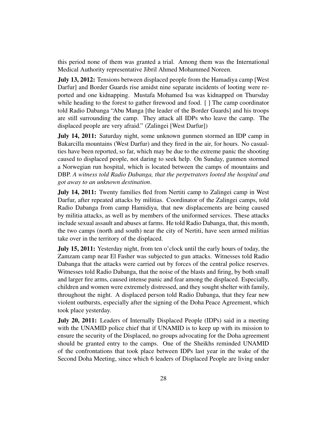this period none of them was granted a trial. Among them was the International Medical Authority representative Jibril Ahmed Mohammed Noreen.

**July 13, 2012:** Tensions between displaced people from the Hamadiya camp [West] Darfur] and Border Guards rise amidst nine separate incidents of looting were reported and one kidnapping. Mustafa Mohamed Isa was kidnapped on Thursday while heading to the forest to gather firewood and food. [ ] The camp coordinator told Radio Dabanga "Abu Manga [the leader of the Border Guards] and his troops are still surrounding the camp. They attack all IDPs who leave the camp. The displaced people are very afraid." (Zalingei [West Darfur])

July 14, 2011: Saturday night, some unknown gunmen stormed an IDP camp in Bakarcilla mountains (West Darfur) and they fired in the air, for hours. No casualties have been reported, so far, which may be due to the extreme panic the shooting caused to displaced people, not daring to seek help. On Sunday, gunmen stormed a Norwegian run hospital, which is located between the camps of mountains and DBP. *A witness told Radio Dabanga, that the perpetrators looted the hospital and got away to an unknown destination*.

**July 14, 2011:** Twenty families fled from Nertiti camp to Zalingei camp in West Darfur, after repeated attacks by militias. Coordinator of the Zalingei camps, told Radio Dabanga from camp Hamidiya, that new displacements are being caused by militia attacks, as well as by members of the uniformed services. These attacks include sexual assault and abuses at farms. He told Radio Dabanga, that, this month, the two camps (north and south) near the city of Nertiti, have seen armed militias take over in the territory of the displaced.

July 15, 2011: Yesterday night, from ten o'clock until the early hours of today, the Zamzam camp near El Fasher was subjected to gun attacks. Witnesses told Radio Dabanga that the attacks were carried out by forces of the central police reserves. Witnesses told Radio Dabanga, that the noise of the blasts and firing, by both small and larger fire arms, caused intense panic and fear among the displaced. Especially, children and women were extremely distressed, and they sought shelter with family, throughout the night. A displaced person told Radio Dabanga, that they fear new violent outbursts, especially after the signing of the Doha Peace Agreement, which took place yesterday.

July 20, 2011: Leaders of Internally Displaced People (IDPs) said in a meeting with the UNAMID police chief that if UNAMID is to keep up with its mission to ensure the security of the Displaced, no groups advocating for the Doha agreement should be granted entry to the camps. One of the Sheikhs reminded UNAMID of the confrontations that took place between IDPs last year in the wake of the Second Doha Meeting, since which 6 leaders of Displaced People are living under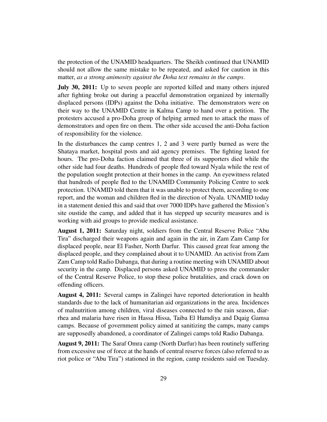the protection of the UNAMID headquarters. The Sheikh continued that UNAMID should not allow the same mistake to be repeated, and asked for caution in this matter, *as a strong animosity against the Doha text remains in the camps*.

July 30, 2011: Up to seven people are reported killed and many others injured after fighting broke out during a peaceful demonstration organized by internally displaced persons (IDPs) against the Doha initiative. The demonstrators were on their way to the UNAMID Centre in Kalma Camp to hand over a petition. The protesters accused a pro-Doha group of helping armed men to attack the mass of demonstrators and open fire on them. The other side accused the anti-Doha faction of responsibility for the violence.

In the disturbances the camp centres 1, 2 and 3 were partly burned as were the Shataya market, hospital posts and aid agency premises. The fighting lasted for hours. The pro-Doha faction claimed that three of its supporters died while the other side had four deaths. Hundreds of people fled toward Nyala while the rest of the population sought protection at their homes in the camp. An eyewitness related that hundreds of people fled to the UNAMID Community Policing Centre to seek protection. UNAMID told them that it was unable to protect them, according to one report, and the woman and children fled in the direction of Nyala. UNAMID today in a statement denied this and said that over 7000 IDPs have gathered the Mission's site oustide the camp, and added that it has stepped up security measures and is working with aid groups to provide medical assistance.

August 1, 2011: Saturday night, soldiers from the Central Reserve Police "Abu Tira" discharged their weapons again and again in the air, in Zam Zam Camp for displaced people, near El Fasher, North Darfur. This caused great fear among the displaced people, and they complained about it to UNAMID. An activist from Zam Zam Camp told Radio Dabanga, that during a routine meeting with UNAMID about security in the camp. Displaced persons asked UNAMID to press the commander of the Central Reserve Police, to stop these police brutalities, and crack down on offending officers.

August 4, 2011: Several camps in Zalingei have reported deterioration in health standards due to the lack of humanitarian aid organizations in the area. Incidences of malnutrition among children, viral diseases connected to the rain season, diarrhea and malaria have risen in Hassa Hissa, Taiba El Hamdiya and Dqaig Gamsa camps. Because of government policy aimed at sanitizing the camps, many camps are supposedly abandoned, a coordinator of Zalingei camps told Radio Dabanga.

August 9, 2011: The Saraf Omra camp (North Darfur) has been routinely suffering from excessive use of force at the hands of central reserve forces (also referred to as riot police or "Abu Tira") stationed in the region, camp residents said on Tuesday.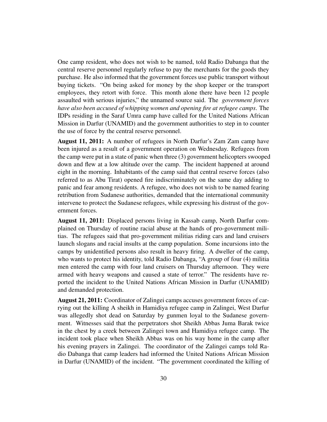One camp resident, who does not wish to be named, told Radio Dabanga that the central reserve personnel regularly refuse to pay the merchants for the goods they purchase. He also informed that the government forces use public transport without buying tickets. "On being asked for money by the shop keeper or the transport employees, they retort with force. This month alone there have been 12 people assaulted with serious injuries," the unnamed source said. The *government forces have also been accused of whipping women and opening fire at refugee camps*. The IDPs residing in the Saraf Umra camp have called for the United Nations African Mission in Darfur (UNAMID) and the government authorities to step in to counter the use of force by the central reserve personnel.

August 11, 2011: A number of refugees in North Darfur's Zam Zam camp have been injured as a result of a government operation on Wednesday. Refugees from the camp were put in a state of panic when three (3) government helicopters swooped down and flew at a low altitude over the camp. The incident happened at around eight in the morning. Inhabitants of the camp said that central reserve forces (also referred to as Abu Tirat) opened fire indiscriminately on the same day adding to panic and fear among residents. A refugee, who does not wish to be named fearing retribution from Sudanese authorities, demanded that the international community intervene to protect the Sudanese refugees, while expressing his distrust of the government forces.

August 11, 2011: Displaced persons living in Kassab camp, North Darfur complained on Thursday of routine racial abuse at the hands of pro-government militias. The refugees said that pro-government militias riding cars and land cruisers launch slogans and racial insults at the camp population. Some incursions into the camps by unidentified persons also result in heavy firing. A dweller of the camp, who wants to protect his identity, told Radio Dabanga, "A group of four (4) militia men entered the camp with four land cruisers on Thursday afternoon. They were armed with heavy weapons and caused a state of terror." The residents have reported the incident to the United Nations African Mission in Darfur (UNAMID) and demanded protection.

August 21, 2011: Coordinator of Zalingei camps accuses government forces of carrying out the killing A sheikh in Hamidiya refugee camp in Zalingei, West Darfur was allegedly shot dead on Saturday by gunmen loyal to the Sudanese government. Witnesses said that the perpetrators shot Sheikh Abbas Juma Barak twice in the chest by a creek between Zalingei town and Hamidiya refugee camp. The incident took place when Sheikh Abbas was on his way home in the camp after his evening prayers in Zalingei. The coordinator of the Zalingei camps told Radio Dabanga that camp leaders had informed the United Nations African Mission in Darfur (UNAMID) of the incident. "The government coordinated the killing of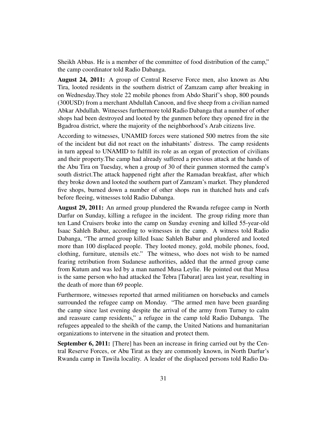Sheikh Abbas. He is a member of the committee of food distribution of the camp," the camp coordinator told Radio Dabanga.

August 24, 2011: A group of Central Reserve Force men, also known as Abu Tira, looted residents in the southern district of Zamzam camp after breaking in on Wednesday.They stole 22 mobile phones from Abdo Sharif's shop, 800 pounds (300USD) from a merchant Abdullah Canoon, and five sheep from a civilian named Abkar Abdullah. Witnesses furthermore told Radio Dabanga that a number of other shops had been destroyed and looted by the gunmen before they opened fire in the Bgadroa district, where the majority of the neighborhood's Arab citizens live.

According to witnesses, UNAMID forces were stationed 500 metres from the site of the incident but did not react on the inhabitants' distress. The camp residents in turn appeal to UNAMID to fulfill its role as an organ of protection of civilians and their property.The camp had already suffered a previous attack at the hands of the Abu Tira on Tuesday, when a group of 30 of their gunmen stormed the camp's south district.The attack happened right after the Ramadan breakfast, after which they broke down and looted the southern part of Zamzam's market. They plundered five shops, burned down a number of other shops run in thatched huts and cafs before fleeing, witnesses told Radio Dabanga.

August 29, 2011: An armed group plundered the Rwanda refugee camp in North Darfur on Sunday, killing a refugee in the incident. The group riding more than ten Land Cruisers broke into the camp on Sunday evening and killed 55-year-old Isaac Sahleh Babur, according to witnesses in the camp. A witness told Radio Dabanga, "The armed group killed Isaac Sahleh Babur and plundered and looted more than 100 displaced people. They looted money, gold, mobile phones, food, clothing, furniture, utensils etc." The witness, who does not wish to be named fearing retribution from Sudanese authorities, added that the armed group came from Kutum and was led by a man named Musa Leylie. He pointed out that Musa is the same person who had attacked the Tebra [Tabarat] area last year, resulting in the death of more than 69 people.

Furthermore, witnesses reported that armed militiamen on horsebacks and camels surrounded the refugee camp on Monday. "The armed men have been guarding the camp since last evening despite the arrival of the army from Turney to calm and reassure camp residents," a refugee in the camp told Radio Dabanga. The refugees appealed to the sheikh of the camp, the United Nations and humanitarian organizations to intervene in the situation and protect them.

September 6, 2011: [There] has been an increase in firing carried out by the Central Reserve Forces, or Abu Tirat as they are commonly known, in North Darfur's Rwanda camp in Tawila locality. A leader of the displaced persons told Radio Da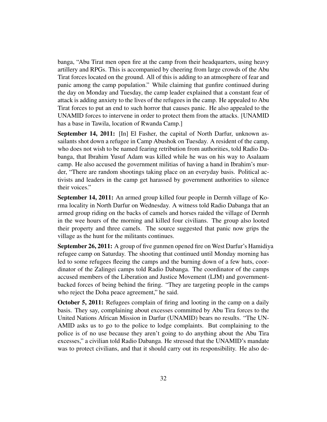banga, "Abu Tirat men open fire at the camp from their headquarters, using heavy artillery and RPGs. This is accompanied by cheering from large crowds of the Abu Tirat forces located on the ground. All of this is adding to an atmosphere of fear and panic among the camp population." While claiming that gunfire continued during the day on Monday and Tuesday, the camp leader explained that a constant fear of attack is adding anxiety to the lives of the refugees in the camp. He appealed to Abu Tirat forces to put an end to such horror that causes panic. He also appealed to the UNAMID forces to intervene in order to protect them from the attacks. [UNAMID has a base in Tawila, location of Rwanda Camp.]

September 14, 2011: [In] El Fasher, the capital of North Darfur, unknown assailants shot down a refugee in Camp Abushok on Tuesday. A resident of the camp, who does not wish to be named fearing retribution from authorities, told Radio Dabanga, that Ibrahim Yusuf Adam was killed while he was on his way to Asalaam camp. He also accused the government militias of having a hand in Ibrahim's murder, "There are random shootings taking place on an everyday basis. Political activists and leaders in the camp get harassed by government authorities to silence their voices."

September 14, 2011: An armed group killed four people in Dermh village of Korma locality in North Darfur on Wednesday. A witness told Radio Dabanga that an armed group riding on the backs of camels and horses raided the village of Dermh in the wee hours of the morning and killed four civilians. The group also looted their property and three camels. The source suggested that panic now grips the village as the hunt for the militants continues.

September 26, 2011: A group of five gunmen opened fire on West Darfur's Hamidiya refugee camp on Saturday. The shooting that continued until Monday morning has led to some refugees fleeing the camps and the burning down of a few huts, coordinator of the Zalingei camps told Radio Dabanga. The coordinator of the camps accused members of the Liberation and Justice Movement (LJM) and governmentbacked forces of being behind the firing. "They are targeting people in the camps who reject the Doha peace agreement," he said.

October 5, 2011: Refugees complain of firing and looting in the camp on a daily basis. They say, complaining about excesses committed by Abu Tira forces to the United Nations African Mission in Darfur (UNAMID) bears no results. "The UN-AMID asks us to go to the police to lodge complaints. But complaining to the police is of no use because they aren't going to do anything about the Abu Tira excesses," a civilian told Radio Dabanga. He stressed that the UNAMID's mandate was to protect civilians, and that it should carry out its responsibility. He also de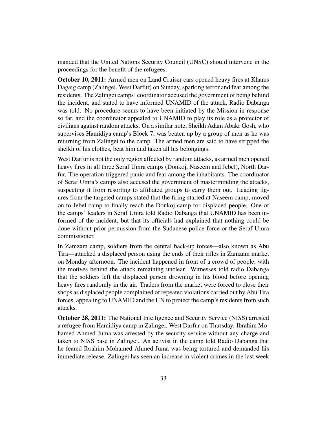manded that the United Nations Security Council (UNSC) should intervene in the proceedings for the benefit of the refugees.

October 10, 2011: Armed men on Land Cruiser cars opened heavy fires at Khams Dagaig camp (Zalingei, West Darfur) on Sunday, sparking terror and fear among the residents. The Zalingei camps' coordinator accused the government of being behind the incident, and stated to have informed UNAMID of the attack, Radio Dabanga was told. No procedure seems to have been initiated by the Mission in response so far, and the coordinator appealed to UNAMID to play its role as a protector of civilians against random attacks. On a similar note, Sheikh Adam Abakr Gosh, who supervises Hamidiya camp's Block 7, was beaten up by a group of men as he was returning from Zalingei to the camp. The armed men are said to have stripped the sheikh of his clothes, beat him and taken all his belongings.

West Darfur is not the only region affected by random attacks, as armed men opened heavy fires in all three Seraf Umra camps (Donkoj, Naseem and Jebel), North Darfur. The operation triggered panic and fear among the inhabitants. The coordinator of Seraf Umra's camps also accused the government of masterminding the attacks, suspecting it from resorting to affiliated groups to carry them out. Leading figures from the targeted camps stated that the firing started at Naseem camp, moved on to Jebel camp to finally reach the Donkoj camp for displaced people. One of the camps' leaders in Seraf Umra told Radio Dabanga that UNAMID has been informed of the incident, but that its officials had explained that nothing could be done without prior permission from the Sudanese police force or the Seraf Umra commissioner.

In Zamzam camp, soldiers from the central back-up forces—also known as Abu Tira—attacked a displaced person using the ends of their rifles in Zamzam market on Monday afternoon. The incident happened in front of a crowd of people, with the motives behind the attack remaining unclear. Witnesses told radio Dabanga that the soldiers left the displaced person drowning in his blood before opening heavy fires randomly in the air. Traders from the market were forced to close their shops as displaced people complained of repeated violations carried out by Abu Tira forces, appealing to UNAMID and the UN to protect the camp's residents from such attacks.

October 28, 2011: The National Intelligence and Security Service (NISS) arrested a refugee from Hamidiya camp in Zalingei, West Darfur on Thursday. Ibrahim Mohamed Ahmed Juma was arrested by the security service without any charge and taken to NISS base in Zalingei. An activist in the camp told Radio Dabanga that he feared Ibrahim Mohamed Ahmed Juma was being tortured and demanded his immediate release. Zalingei has seen an increase in violent crimes in the last week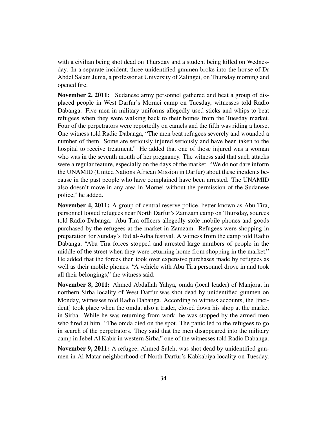with a civilian being shot dead on Thursday and a student being killed on Wednesday. In a separate incident, three unidentified gunmen broke into the house of Dr Abdel Salam Juma, a professor at University of Zalingei, on Thursday morning and opened fire.

November 2, 2011: Sudanese army personnel gathered and beat a group of displaced people in West Darfur's Mornei camp on Tuesday, witnesses told Radio Dabanga. Five men in military uniforms allegedly used sticks and whips to beat refugees when they were walking back to their homes from the Tuesday market. Four of the perpetrators were reportedly on camels and the fifth was riding a horse. One witness told Radio Dabanga, "The men beat refugees severely and wounded a number of them. Some are seriously injured seriously and have been taken to the hospital to receive treatment." He added that one of those injured was a woman who was in the seventh month of her pregnancy. The witness said that such attacks were a regular feature, especially on the days of the market. "We do not dare inform the UNAMID (United Nations African Mission in Darfur) about these incidents because in the past people who have complained have been arrested. The UNAMID also doesn't move in any area in Mornei without the permission of the Sudanese police," he added.

November 4, 2011: A group of central reserve police, better known as Abu Tira, personnel looted refugees near North Darfur's Zamzam camp on Thursday, sources told Radio Dabanga. Abu Tira officers allegedly stole mobile phones and goods purchased by the refugees at the market in Zamzam. Refugees were shopping in preparation for Sunday's Eid al-Adha festival. A witness from the camp told Radio Dabanga, "Abu Tira forces stopped and arrested large numbers of people in the middle of the street when they were returning home from shopping in the market." He added that the forces then took over expensive purchases made by refugees as well as their mobile phones. "A vehicle with Abu Tira personnel drove in and took all their belongings," the witness said.

November 8, 2011: Ahmed Abdallah Yahya, omda (local leader) of Manjora, in northern Sirba locality of West Darfur was shot dead by unidentified gunmen on Monday, witnesses told Radio Dabanga. According to witness accounts, the [incident] took place when the omda, also a trader, closed down his shop at the market in Sirba. While he was returning from work, he was stopped by the armed men who fired at him. "The omda died on the spot. The panic led to the refugees to go in search of the perpetrators. They said that the men disappeared into the military camp in Jebel Al Kabir in western Sirba," one of the witnesses told Radio Dabanga.

November 9, 2011: A refugee, Ahmed Saleh, was shot dead by unidentified gunmen in Al Matar neighborhood of North Darfur's Kabkabiya locality on Tuesday.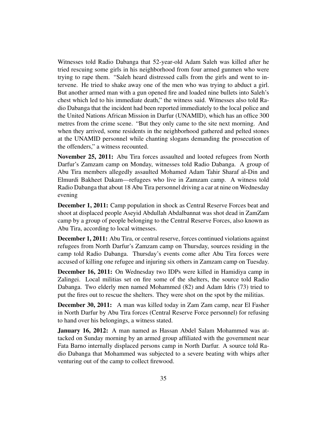Witnesses told Radio Dabanga that 52-year-old Adam Saleh was killed after he tried rescuing some girls in his neighborhood from four armed gunmen who were trying to rape them. "Saleh heard distressed calls from the girls and went to intervene. He tried to shake away one of the men who was trying to abduct a girl. But another armed man with a gun opened fire and loaded nine bullets into Saleh's chest which led to his immediate death," the witness said. Witnesses also told Radio Dabanga that the incident had been reported immediately to the local police and the United Nations African Mission in Darfur (UNAMID), which has an office 300 metres from the crime scene. "But they only came to the site next morning. And when they arrived, some residents in the neighborhood gathered and pelted stones at the UNAMID personnel while chanting slogans demanding the prosecution of the offenders," a witness recounted.

November 25, 2011: Abu Tira forces assaulted and looted refugees from North Darfur's Zamzam camp on Monday, witnesses told Radio Dabanga. A group of Abu Tira members allegedly assaulted Mohamed Adam Tahir Sharaf al-Din and Elmurdi Bakheet Dakam—refugees who live in Zamzam camp. A witness told Radio Dabanga that about 18 Abu Tira personnel driving a car at nine on Wednesday evening

December 1, 2011: Camp population in shock as Central Reserve Forces beat and shoot at displaced people Aseyid Abdullah Abdalbannat was shot dead in ZamZam camp by a group of people belonging to the Central Reserve Forces, also known as Abu Tira, according to local witnesses.

December 1, 2011: Abu Tira, or central reserve, forces continued violations against refugees from North Darfur's Zamzam camp on Thursday, sources residing in the camp told Radio Dabanga. Thursday's events come after Abu Tira forces were accused of killing one refugee and injuring six others in Zamzam camp on Tuesday.

December 16, 2011: On Wednesday two IDPs were killed in Hamidiya camp in Zalingei. Local militias set on fire some of the shelters, the source told Radio Dabanga. Two elderly men named Mohammed (82) and Adam Idris (73) tried to put the fires out to rescue the shelters. They were shot on the spot by the militias.

December 30, 2011: A man was killed today in Zam Zam camp, near El Fasher in North Darfur by Abu Tira forces (Central Reserve Force personnel) for refusing to hand over his belongings, a witness stated.

January 16, 2012: A man named as Hassan Abdel Salam Mohammed was attacked on Sunday morning by an armed group affiliated with the government near Fata Barno internally displaced persons camp in North Darfur. A source told Radio Dabanga that Mohammed was subjected to a severe beating with whips after venturing out of the camp to collect firewood.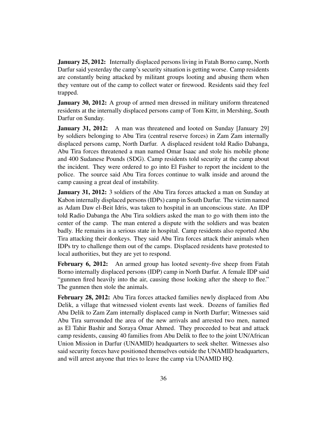**January 25, 2012:** Internally displaced persons living in Fatah Borno camp, North Darfur said yesterday the camp's security situation is getting worse. Camp residents are constantly being attacked by militant groups looting and abusing them when they venture out of the camp to collect water or firewood. Residents said they feel trapped.

**January 30, 2012:** A group of armed men dressed in military uniform threatened residents at the internally displaced persons camp of Tom Kittr, in Mershing, South Darfur on Sunday.

**January 31, 2012:** A man was threatened and looted on Sunday [January 29] by soldiers belonging to Abu Tira (central reserve forces) in Zam Zam internally displaced persons camp, North Darfur. A displaced resident told Radio Dabanga, Abu Tira forces threatened a man named Omar Isaac and stole his mobile phone and 400 Sudanese Pounds (SDG). Camp residents told security at the camp about the incident. They were ordered to go into El Fasher to report the incident to the police. The source said Abu Tira forces continue to walk inside and around the camp causing a great deal of instability.

**January 31, 2012:** 3 soldiers of the Abu Tira forces attacked a man on Sunday at Kabon internally displaced persons (IDPs) camp in South Darfur. The victim named as Adam Daw el-Beit Idris, was taken to hospital in an unconscious state. An IDP told Radio Dabanga the Abu Tira soldiers asked the man to go with them into the center of the camp. The man entered a dispute with the soldiers and was beaten badly. He remains in a serious state in hospital. Camp residents also reported Abu Tira attacking their donkeys. They said Abu Tira forces attack their animals when IDPs try to challenge them out of the camps. Displaced residents have protested to local authorities, but they are yet to respond.

February 6, 2012: An armed group has looted seventy-five sheep from Fatah Borno internally displaced persons (IDP) camp in North Darfur. A female IDP said "gunmen fired heavily into the air, causing those looking after the sheep to flee." The gunmen then stole the animals.

February 28, 2012: Abu Tira forces attacked families newly displaced from Abu Delik, a village that witnessed violent events last week. Dozens of families fled Abu Delik to Zam Zam internally displaced camp in North Darfur; Witnesses said Abu Tira surrounded the area of the new arrivals and arrested two men, named as El Tahir Bashir and Soraya Omar Ahmed. They proceeded to beat and attack camp residents, causing 40 families from Abu Delik to flee to the joint UN/African Union Mission in Darfur (UNAMID) headquarters to seek shelter. Witnesses also said security forces have positioned themselves outside the UNAMID headquarters, and will arrest anyone that tries to leave the camp via UNAMID HQ.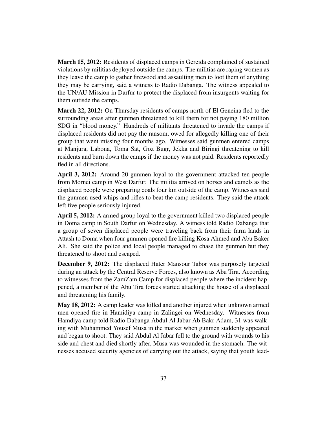March 15, 2012: Residents of displaced camps in Gereida complained of sustained violations by militias deployed outside the camps. The militias are raping women as they leave the camp to gather firewood and assaulting men to loot them of anything they may be carrying, said a witness to Radio Dabanga. The witness appealed to the UN/AU Mission in Darfur to protect the displaced from insurgents waiting for them outisde the camps.

March 22, 2012: On Thursday residents of camps north of El Geneina fled to the surrounding areas after gunmen threatened to kill them for not paying 180 million SDG in "blood money." Hundreds of militants threatened to invade the camps if displaced residents did not pay the ransom, owed for allegedly killing one of their group that went missing four months ago. Witnesses said gunmen entered camps at Manjura, Labona, Toma Sat, Goz Bugr, Jekka and Biringi threatening to kill residents and burn down the camps if the money was not paid. Residents reportedly fled in all directions.

April 3, 2012: Around 20 gunmen loyal to the government attacked ten people from Mornei camp in West Darfur. The militia arrived on horses and camels as the displaced people were preparing coals four km outside of the camp. Witnesses said the gunmen used whips and rifles to beat the camp residents. They said the attack left five people seriously injured.

April 5, 2012: A armed group loyal to the government killed two displaced people in Doma camp in South Darfur on Wednesday. A witness told Radio Dabanga that a group of seven displaced people were traveling back from their farm lands in Attash to Doma when four gunmen opened fire killing Kosa Ahmed and Abu Baker Ali. She said the police and local people managed to chase the gunmen but they threatened to shoot and escaped.

December 9, 2012: The displaced Hater Mansour Tabor was purposely targeted during an attack by the Central Reserve Forces, also known as Abu Tira. According to witnesses from the ZamZam Camp for displaced people where the incident happened, a member of the Abu Tira forces started attacking the house of a displaced and threatening his family.

May 18, 2012: A camp leader was killed and another injured when unknown armed men opened fire in Hamidiya camp in Zalingei on Wednesday. Witnesses from Hamdiya camp told Radio Dabanga Abdul Al Jabar Ab Bakr Adam, 31 was walking with Muhammed Yousef Musa in the market when gunmen suddenly appeared and began to shoot. They said Abdul Al Jabar fell to the ground with wounds to his side and chest and died shortly after, Musa was wounded in the stomach. The witnesses accused security agencies of carrying out the attack, saying that youth lead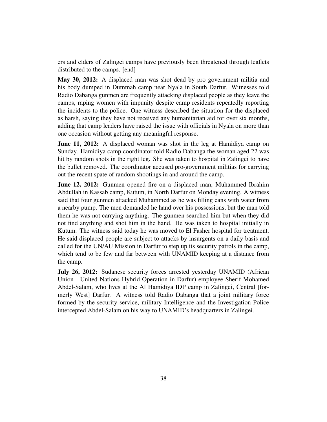ers and elders of Zalingei camps have previously been threatened through leaflets distributed to the camps. [end]

May 30, 2012: A displaced man was shot dead by pro government militia and his body dumped in Dummah camp near Nyala in South Darfur. Witnesses told Radio Dabanga gunmen are frequently attacking displaced people as they leave the camps, raping women with impunity despite camp residents repeatedly reporting the incidents to the police. One witness described the situation for the displaced as harsh, saying they have not received any humanitarian aid for over six months, adding that camp leaders have raised the issue with officials in Nyala on more than one occasion without getting any meaningful response.

**June 11, 2012:** A displaced woman was shot in the leg at Hamidiya camp on Sunday. Hamidiya camp coordinator told Radio Dabanga the woman aged 22 was hit by random shots in the right leg. She was taken to hospital in Zalingei to have the bullet removed. The coordinator accused pro-government militias for carrying out the recent spate of random shootings in and around the camp.

June 12, 2012: Gunmen opened fire on a displaced man, Muhammed Ibrahim Abdullah in Kassab camp, Kutum, in North Darfur on Monday evening. A witness said that four gunmen attacked Muhammed as he was filling cans with water from a nearby pump. The men demanded he hand over his possessions, but the man told them he was not carrying anything. The gunmen searched him but when they did not find anything and shot him in the hand. He was taken to hospital initially in Kutum. The witness said today he was moved to El Fasher hospital for treatment. He said displaced people are subject to attacks by insurgents on a daily basis and called for the UN/AU Mission in Darfur to step up its security patrols in the camp, which tend to be few and far between with UNAMID keeping at a distance from the camp.

July 26, 2012: Sudanese security forces arrested yesterday UNAMID (African Union - United Nations Hybrid Operation in Darfur) employee Sherif Mohamed Abdel-Salam, who lives at the Al Hamidiya IDP camp in Zalingei, Central [formerly West] Darfur. A witness told Radio Dabanga that a joint military force formed by the security service, military Intelligence and the Investigation Police intercepted Abdel-Salam on his way to UNAMID's headquarters in Zalingei.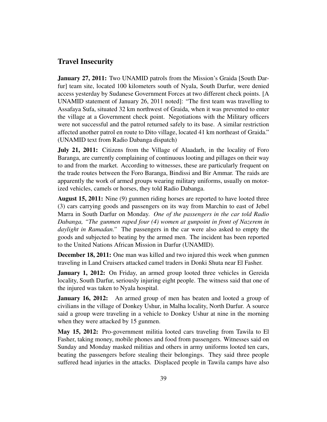#### <span id="page-38-0"></span>Travel Insecurity

**January 27, 2011:** Two UNAMID patrols from the Mission's Graida [South Darfur] team site, located 100 kilometers south of Nyala, South Darfur, were denied access yesterday by Sudanese Government Forces at two different check points. [A UNAMID statement of January 26, 2011 noted]: "The first team was travelling to Assafaya Sufa, situated 32 km northwest of Graida, when it was prevented to enter the village at a Government check point. Negotiations with the Military officers were not successful and the patrol returned safely to its base. A similar restriction affected another patrol en route to Dito village, located 41 km northeast of Graida." (UNAMID text from Radio Dabanga dispatch)

July 21, 2011: Citizens from the Village of Alaadarh, in the locality of Foro Baranga, are currently complaining of continuous looting and pillages on their way to and from the market. According to witnesses, these are particularly frequent on the trade routes between the Foro Baranga, Bindissi and Bir Ammar. The raids are apparently the work of armed groups wearing military uniforms, usually on motorized vehicles, camels or horses, they told Radio Dabanga.

August 15, 2011: Nine (9) gunmen riding horses are reported to have looted three (3) cars carrying goods and passengers on its way from Marchin to east of Jebel Marra in South Darfur on Monday. *One of the passengers in the car told Radio Dabanga, "The gunmen raped four (4) women at gunpoint in front of Nazerem in daylight in Ramadan."* The passengers in the car were also asked to empty the goods and subjected to beating by the armed men. The incident has been reported to the United Nations African Mission in Darfur (UNAMID).

December 18, 2011: One man was killed and two injured this week when gunmen traveling in Land Cruisers attacked camel traders in Donki Shuta near El Fasher.

January 1, 2012: On Friday, an armed group looted three vehicles in Gereida locality, South Darfur, seriously injuring eight people. The witness said that one of the injured was taken to Nyala hospital.

**January 16, 2012:** An armed group of men has beaten and looted a group of civilians in the village of Donkey Ushur, in Malha locality, North Darfur. A source said a group were traveling in a vehicle to Donkey Ushur at nine in the morning when they were attacked by 15 gunmen.

May 15, 2012: Pro-government militia looted cars traveling from Tawila to El Fasher, taking money, mobile phones and food from passengers. Witnesses said on Sunday and Monday masked militias and others in army uniforms looted ten cars, beating the passengers before stealing their belongings. They said three people suffered head injuries in the attacks. Displaced people in Tawila camps have also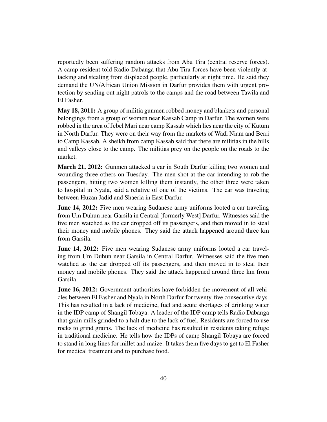reportedly been suffering random attacks from Abu Tira (central reserve forces). A camp resident told Radio Dabanga that Abu Tira forces have been violently attacking and stealing from displaced people, particularly at night time. He said they demand the UN/African Union Mission in Darfur provides them with urgent protection by sending out night patrols to the camps and the road between Tawila and El Fasher.

May 18, 2011: A group of militia gunmen robbed money and blankets and personal belongings from a group of women near Kassab Camp in Darfur. The women were robbed in the area of Jebel Mari near camp Kassab which lies near the city of Kutum in North Darfur. They were on their way from the markets of Wadi Niam and Berri to Camp Kassab. A sheikh from camp Kassab said that there are militias in the hills and valleys close to the camp. The militias prey on the people on the roads to the market.

March 21, 2012: Gunmen attacked a car in South Darfur killing two women and wounding three others on Tuesday. The men shot at the car intending to rob the passengers, hitting two women killing them instantly, the other three were taken to hospital in Nyala, said a relative of one of the victims. The car was traveling between Huzan Jadid and Shaeria in East Darfur.

**June 14, 2012:** Five men wearing Sudanese army uniforms looted a car traveling from Um Duhun near Garsila in Central [formerly West] Darfur. Witnesses said the five men watched as the car dropped off its passengers, and then moved in to steal their money and mobile phones. They said the attack happened around three km from Garsila.

**June 14, 2012:** Five men wearing Sudanese army uniforms looted a car traveling from Um Duhun near Garsila in Central Darfur. Witnesses said the five men watched as the car dropped off its passengers, and then moved in to steal their money and mobile phones. They said the attack happened around three km from Garsila.

June 16, 2012: Government authorities have forbidden the movement of all vehicles between El Fasher and Nyala in North Darfur for twenty-five consecutive days. This has resulted in a lack of medicine, fuel and acute shortages of drinking water in the IDP camp of Shangil Tobaya. A leader of the IDP camp tells Radio Dabanga that grain mills grinded to a halt due to the lack of fuel. Residents are forced to use rocks to grind grains. The lack of medicine has resulted in residents taking refuge in traditional medicine. He tells how the IDPs of camp Shangil Tobaya are forced to stand in long lines for millet and maize. It takes them five days to get to El Fasher for medical treatment and to purchase food.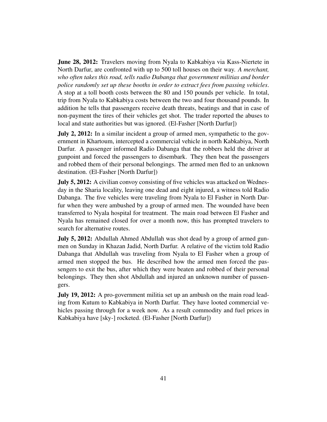**June 28, 2012:** Travelers moving from Nyala to Kabkabiya via Kass-Niertete in North Darfur, are confronted with up to 500 toll houses on their way. *A merchant, who often takes this road, tells radio Dabanga that government militias and border police randomly set up these booths in order to extract fees from passing vehicles*. A stop at a toll booth costs between the 80 and 150 pounds per vehicle. In total, trip from Nyala to Kabkabiya costs between the two and four thousand pounds. In addition he tells that passengers receive death threats, beatings and that in case of non-payment the tires of their vehicles get shot. The trader reported the abuses to local and state authorities but was ignored. (El-Fasher [North Darfur])

July 2, 2012: In a similar incident a group of armed men, sympathetic to the government in Khartoum, intercepted a commercial vehicle in north Kabkabiya, North Darfur. A passenger informed Radio Dabanga that the robbers held the driver at gunpoint and forced the passengers to disembark. They then beat the passengers and robbed them of their personal belongings. The armed men fled to an unknown destination. (El-Fasher [North Darfur])

**July 5, 2012:** A civilian convoy consisting of five vehicles was attacked on Wednesday in the Sharia locality, leaving one dead and eight injured, a witness told Radio Dabanga. The five vehicles were traveling from Nyala to El Fasher in North Darfur when they were ambushed by a group of armed men. The wounded have been transferred to Nyala hospital for treatment. The main road between El Fasher and Nyala has remained closed for over a month now, this has prompted travelers to search for alternative routes.

July 5, 2012: Abdullah Ahmed Abdullah was shot dead by a group of armed gunmen on Sunday in Khazan Jadid, North Darfur. A relative of the victim told Radio Dabanga that Abdullah was traveling from Nyala to El Fasher when a group of armed men stopped the bus. He described how the armed men forced the passengers to exit the bus, after which they were beaten and robbed of their personal belongings. They then shot Abdullah and injured an unknown number of passengers.

**July 19, 2012:** A pro-government militia set up an ambush on the main road leading from Kutum to Kabkabiya in North Darfur. They have looted commercial vehicles passing through for a week now. As a result commodity and fuel prices in Kabkabiya have [sky-] rocketed. (El-Fasher [North Darfur])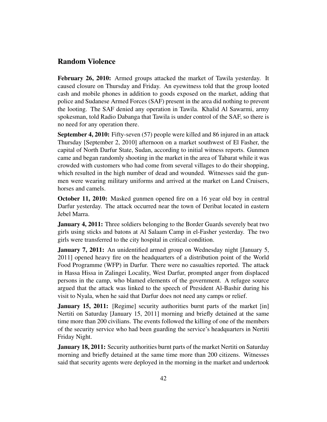#### <span id="page-41-0"></span>Random Violence

February 26, 2010: Armed groups attacked the market of Tawila yesterday. It caused closure on Thursday and Friday. An eyewitness told that the group looted cash and mobile phones in addition to goods exposed on the market, adding that police and Sudanese Armed Forces (SAF) present in the area did nothing to prevent the looting. The SAF denied any operation in Tawila. Khalid Al Sawarmi, army spokesman, told Radio Dabanga that Tawila is under control of the SAF, so there is no need for any operation there.

September 4, 2010: Fifty-seven (57) people were killed and 86 injured in an attack Thursday [September 2, 2010] afternoon on a market southwest of El Fasher, the capital of North Darfur State, Sudan, according to initial witness reports. Gunmen came and began randomly shooting in the market in the area of Tabarat while it was crowded with customers who had come from several villages to do their shopping, which resulted in the high number of dead and wounded. Witnesses said the gunmen were wearing military uniforms and arrived at the market on Land Cruisers, horses and camels.

October 11, 2010: Masked gunmen opened fire on a 16 year old boy in central Darfur yesterday. The attack occurred near the town of Deribat located in eastern Jebel Marra.

**January 4, 2011:** Three soldiers belonging to the Border Guards severely beat two girls using sticks and batons at Al Salaam Camp in el-Fasher yesterday. The two girls were transferred to the city hospital in critical condition.

January 7, 2011: An unidentified armed group on Wednesday night [January 5, 2011] opened heavy fire on the headquarters of a distribution point of the World Food Programme (WFP) in Darfur. There were no casualties reported. The attack in Hassa Hissa in Zalingei Locality, West Darfur, prompted anger from displaced persons in the camp, who blamed elements of the government. A refugee source argued that the attack was linked to the speech of President Al-Bashir during his visit to Nyala, when he said that Darfur does not need any camps or relief.

**January 15, 2011:** [Regime] security authorities burnt parts of the market [in] Nertiti on Saturday [January 15, 2011] morning and briefly detained at the same time more than 200 civilians. The events followed the killing of one of the members of the security service who had been guarding the service's headquarters in Nertiti Friday Night.

January 18, 2011: Security authorities burnt parts of the market Nertiti on Saturday morning and briefly detained at the same time more than 200 citizens. Witnesses said that security agents were deployed in the morning in the market and undertook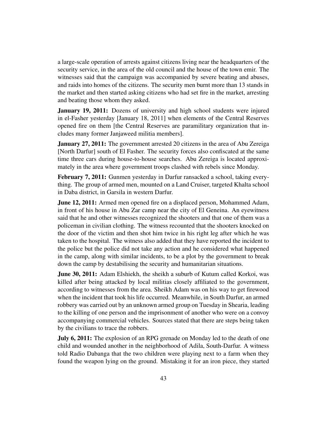a large-scale operation of arrests against citizens living near the headquarters of the security service, in the area of the old council and the house of the town emir. The witnesses said that the campaign was accompanied by severe beating and abuses, and raids into homes of the citizens. The security men burnt more than 13 stands in the market and then started asking citizens who had set fire in the market, arresting and beating those whom they asked.

**January 19, 2011:** Dozens of university and high school students were injured in el-Fasher yesterday [January 18, 2011] when elements of the Central Reserves opened fire on them [the Central Reserves are paramilitary organization that includes many former Janjaweed militia members].

**January 27, 2011:** The government arrested 20 citizens in the area of Abu Zereiga [North Darfur] south of El Fasher. The security forces also confiscated at the same time three cars during house-to-house searches. Abu Zereiga is located approximately in the area where government troops clashed with rebels since Monday.

February 7, 2011: Gunmen yesterday in Darfur ransacked a school, taking everything. The group of armed men, mounted on a Land Cruiser, targeted Khalta school in Daba district, in Garsila in western Darfur.

**June 12, 2011:** Armed men opened fire on a displaced person, Mohammed Adam, in front of his house in Abu Zar camp near the city of El Geneina. An eyewitness said that he and other witnesses recognized the shooters and that one of them was a policeman in civilian clothing. The witness recounted that the shooters knocked on the door of the victim and then shot him twice in his right leg after which he was taken to the hospital. The witness also added that they have reported the incident to the police but the police did not take any action and he considered what happened in the camp, along with similar incidents, to be a plot by the government to break down the camp by destabilising the security and humanitarian situations.

**June 30, 2011:** Adam Elshiekh, the sheikh a suburb of Kutum called Korkoi, was killed after being attacked by local militias closely affiliated to the government, according to witnesses from the area. Sheikh Adam was on his way to get firewood when the incident that took his life occurred. Meanwhile, in South Darfur, an armed robbery was carried out by an unknown armed group on Tuesday in Shearia, leading to the killing of one person and the imprisonment of another who were on a convoy accompanying commercial vehicles. Sources stated that there are steps being taken by the civilians to trace the robbers.

July 6, 2011: The explosion of an RPG grenade on Monday led to the death of one child and wounded another in the neighborhood of Adila, South-Darfur. A witness told Radio Dabanga that the two children were playing next to a farm when they found the weapon lying on the ground. Mistaking it for an iron piece, they started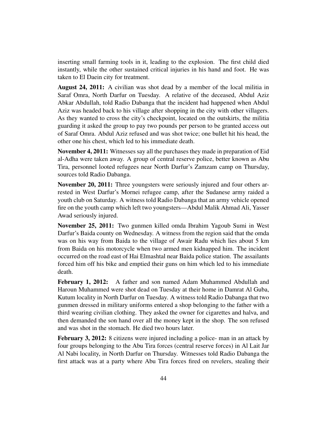inserting small farming tools in it, leading to the explosion. The first child died instantly, while the other sustained critical injuries in his hand and foot. He was taken to El Daein city for treatment.

August 24, 2011: A civilian was shot dead by a member of the local militia in Saraf Omra, North Darfur on Tuesday. A relative of the deceased, Abdul Aziz Abkar Abdullah, told Radio Dabanga that the incident had happened when Abdul Aziz was headed back to his village after shopping in the city with other villagers. As they wanted to cross the city's checkpoint, located on the outskirts, the militia guarding it asked the group to pay two pounds per person to be granted access out of Saraf Omra. Abdul Aziz refused and was shot twice; one bullet hit his head, the other one his chest, which led to his immediate death.

November 4, 2011: Witnesses say all the purchases they made in preparation of Eid al-Adha were taken away. A group of central reserve police, better known as Abu Tira, personnel looted refugees near North Darfur's Zamzam camp on Thursday, sources told Radio Dabanga.

November 20, 2011: Three youngsters were seriously injured and four others arrested in West Darfur's Mornei refugee camp, after the Sudanese army raided a youth club on Saturday. A witness told Radio Dabanga that an army vehicle opened fire on the youth camp which left two youngsters—Abdul Malik Ahmad Ali, Yasser Awad seriously injured.

November 25, 2011: Two gunmen killed omda Ibrahim Yagoub Sumi in West Darfur's Baida county on Wednesday. A witness from the region said that the omda was on his way from Baida to the village of Awair Radu which lies about 5 km from Baida on his motorcycle when two armed men kidnapped him. The incident occurred on the road east of Hai Elmashtal near Baida police station. The assailants forced him off his bike and emptied their guns on him which led to his immediate death.

February 1, 2012: A father and son named Adam Muhammed Abdullah and Haroun Muhammed were shot dead on Tuesday at their home in Damrat Al Guba, Kutum locality in North Darfur on Tuesday. A witness told Radio Dabanga that two gunmen dressed in military uniforms entered a shop belonging to the father with a third wearing civilian clothing. They asked the owner for cigarettes and halva, and then demanded the son hand over all the money kept in the shop. The son refused and was shot in the stomach. He died two hours later.

February 3, 2012: 8 citizens were injured including a police- man in an attack by four groups belonging to the Abu Tira forces (central reserve forces) in Al Lait Jar Al Nabi locality, in North Darfur on Thursday. Witnesses told Radio Dabanga the first attack was at a party where Abu Tira forces fired on revelers, stealing their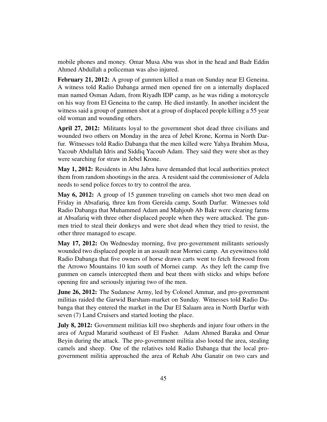mobile phones and money. Omar Musa Abu was shot in the head and Badr Eddin Ahmed Abdullah a policeman was also injured.

February 21, 2012: A group of gunmen killed a man on Sunday near El Geneina. A witness told Radio Dabanga armed men opened fire on a internally displaced man named Osman Adam, from Riyadh IDP camp, as he was riding a motorcycle on his way from El Geneina to the camp. He died instantly. In another incident the witness said a group of gunmen shot at a group of displaced people killing a 55 year old woman and wounding others.

April 27, 2012: Militants loyal to the government shot dead three civilians and wounded two others on Monday in the area of Jebel Krone, Korma in North Darfur. Witnesses told Radio Dabanga that the men killed were Yahya Ibrahim Musa, Yacoub Abdullah Idris and Siddiq Yacoub Adam. They said they were shot as they were searching for straw in Jebel Krone.

May 1, 2012: Residents in Abu Jabra have demanded that local authorities protect them from random shootings in the area. A resident said the commissioner of Adela needs to send police forces to try to control the area.

May 6, 2012: A group of 15 gunmen traveling on camels shot two men dead on Friday in Absafariq, three km from Gereida camp, South Darfur. Witnesses told Radio Dabanga that Muhammed Adam and Mahjoub Ab Bakr were clearing farms at Absafariq with three other displaced people when they were attacked. The gunmen tried to steal their donkeys and were shot dead when they tried to resist, the other three managed to escape.

May 17, 2012: On Wednesday morning, five pro-government militants seriously wounded two displaced people in an assault near Mornei camp. An eyewitness told Radio Dabanga that five owners of horse drawn carts went to fetch firewood from the Arrowo Mountains 10 km south of Mornei camp. As they left the camp five gunmen on camels intercepted them and beat them with sticks and whips before opening fire and seriously injuring two of the men.

**June 26, 2012:** The Sudanese Army, led by Colonel Ammar, and pro-government militias raided the Garwid Barsham-market on Sunday. Witnesses told Radio Dabanga that they entered the market in the Dar El Salaam area in North Darfur with seven (7) Land Cruisers and started looting the place.

July 8, 2012: Government militias kill two shepherds and injure four others in the area of Argud Mararid southeast of El Fasher. Adam Ahmed Baraka and Omar Beyin during the attack. The pro-government militia also looted the area, stealing camels and sheep. One of the relatives told Radio Dabanga that the local progovernment militia approached the area of Rehab Abu Ganatir on two cars and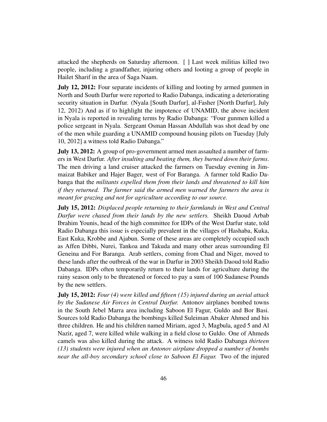attacked the shepherds on Saturday afternoon. [ ] Last week militias killed two people, including a grandfather, injuring others and looting a group of people in Hailet Sharif in the area of Saga Naam.

July 12, 2012: Four separate incidents of killing and looting by armed gunmen in North and South Darfur were reported to Radio Dabanga, indicating a deteriorating security situation in Darfur. (Nyala [South Darfur], al-Fasher [North Darfur], July 12, 2012) And as if to highlight the impotence of UNAMID, the above incident in Nyala is reported in revealing terms by Radio Dabanga: "Four gunmen killed a police sergeant in Nyala. Sergeant Osman Hassan Abdullah was shot dead by one of the men while guarding a UNAMID compound housing pilots on Tuesday [July 10, 2012] a witness told Radio Dabanga."

July 13, 2012: A group of pro-government armed men assaulted a number of farmers in West Darfur. *After insulting and beating them, they burned down their farms*. The men driving a land cruiser attacked the farmers on Tuesday evening in Jimmaizat Babiker and Hajer Bager, west of For Baranga. A farmer told Radio Dabanga that the *militants expelled them from their lands and threatened to kill him if they returned. The farmer said the armed men warned the farmers the area is meant for grazing and not for agriculture according to our source.*

July 15, 2012: *Displaced people returning to their farmlands in West and Central Darfur were chased from their lands by the new settlers.* Sheikh Daoud Arbab Ibrahim Younis, head of the high committee for IDPs of the West Darfur state, told Radio Dabanga this issue is especially prevalent in the villages of Hashaba, Kuka, East Kuka, Krobbe and Ajabun. Some of these areas are completely occupied such as Affen Dibbi, Nurei, Tankoa and Takuda and many other areas surrounding El Geneina and For Baranga. Arab settlers, coming from Chad and Niger, moved to these lands after the outbreak of the war in Darfur in 2003 Sheikh Daoud told Radio Dabanga. IDPs often temporarily return to their lands for agriculture during the rainy season only to be threatened or forced to pay a sum of 100 Sudanese Pounds by the new settlers.

July 15, 2012: *Four (4) were killed and fifteen (15) injured during an aerial attack by the Sudanese Air Forces in Central Darfur.* Antonov airplanes bombed towns in the South Jebel Marra area including Saboon El Fagur, Guldo and Bor Basi. Sources told Radio Dabanga the bombings killed Suleiman Abaker Ahmed and his three children. He and his children named Miriam, aged 3, Magbula, aged 5 and Al Nazir, aged 7, were killed while walking in a field close to Guldo. One of Ahmeds camels was also killed during the attack. A witness told Radio Dabanga *thirteen (13) students were injured when an Antonov airplane dropped a number of bombs near the all-boy secondary school close to Saboon El Fagur.* Two of the injured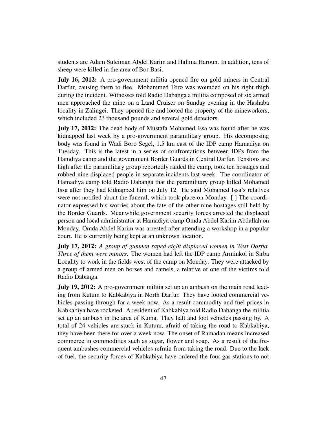students are Adam Suleiman Abdel Karim and Halima Haroun. In addition, tens of sheep were killed in the area of Bor Basi.

**July 16, 2012:** A pro-government militia opened fire on gold miners in Central Darfur, causing them to flee. Mohammed Toro was wounded on his right thigh during the incident. Witnesses told Radio Dabanga a militia composed of six armed men approached the mine on a Land Cruiser on Sunday evening in the Hashaba locality in Zalingei. They opened fire and looted the property of the mineworkers, which included 23 thousand pounds and several gold detectors.

**July 17, 2012:** The dead body of Mustafa Mohamed Issa was found after he was kidnapped last week by a pro-government paramilitary group. His decomposing body was found in Wadi Boro Segel, 1.5 km east of the IDP camp Hamadiya on Tuesday. This is the latest in a series of confrontations between IDPs from the Hamdiya camp and the government Border Guards in Central Darfur. Tensions are high after the paramilitary group reportedly raided the camp, took ten hostages and robbed nine displaced people in separate incidents last week. The coordinator of Hamadiya camp told Radio Dabanga that the paramilitary group killed Mohamed Issa after they had kidnapped him on July 12. He said Mohamed Issa's relatives were not notified about the funeral, which took place on Monday. [ ] The coordinator expressed his worries about the fate of the other nine hostages still held by the Border Guards. Meanwhile government security forces arrested the displaced person and local administrator at Hamadiya camp Omda Abdel Karim Abdallah on Monday. Omda Abdel Karim was arrested after attending a workshop in a popular court. He is currently being kept at an unknown location.

July 17, 2012: *A group of gunmen raped eight displaced women in West Darfur. Three of them were minors*. The women had left the IDP camp Arminkol in Sirba Locality to work in the fields west of the camp on Monday. They were attacked by a group of armed men on horses and camels, a relative of one of the victims told Radio Dabanga.

**July 19, 2012:** A pro-government militia set up an ambush on the main road leading from Kutum to Kabkabiya in North Darfur. They have looted commercial vehicles passing through for a week now. As a result commodity and fuel prices in Kabkabiya have rocketed. A resident of Kabkabiya told Radio Dabanga the militia set up an ambush in the area of Kuma. They halt and loot vehicles passing by. A total of 24 vehicles are stuck in Kutum, afraid of taking the road to Kabkabiya, they have been there for over a week now. The onset of Ramadan means increased commerce in commodities such as sugar, flower and soap. As a result of the frequent ambushes commercial vehicles refrain from taking the road. Due to the lack of fuel, the security forces of Kabkabiya have ordered the four gas stations to not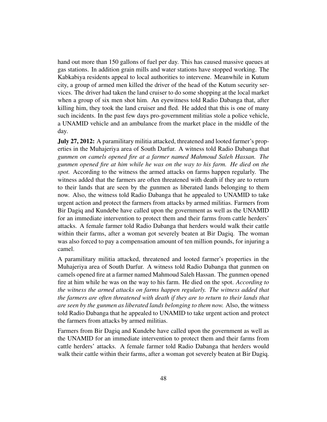hand out more than 150 gallons of fuel per day. This has caused massive queues at gas stations. In addition grain mills and water stations have stopped working. The Kabkabiya residents appeal to local authorities to intervene. Meanwhile in Kutum city, a group of armed men killed the driver of the head of the Kutum security services. The driver had taken the land cruiser to do some shopping at the local market when a group of six men shot him. An eyewitness told Radio Dabanga that, after killing him, they took the land cruiser and fled. He added that this is one of many such incidents. In the past few days pro-government militias stole a police vehicle, a UNAMID vehicle and an ambulance from the market place in the middle of the day.

July 27, 2012: A paramilitary militia attacked, threatened and looted farmer's properties in the Muhajeriya area of South Darfur. A witness told Radio Dabanga that *gunmen on camels opened fire at a farmer named Mahmoud Saleh Hassan. The gunmen opened fire at him while he was on the way to his farm. He died on the spot.* According to the witness the armed attacks on farms happen regularly. The witness added that the farmers are often threatened with death if they are to return to their lands that are seen by the gunmen as liberated lands belonging to them now. Also, the witness told Radio Dabanga that he appealed to UNAMID to take urgent action and protect the farmers from attacks by armed militias. Farmers from Bir Dagiq and Kundebe have called upon the government as well as the UNAMID for an immediate intervention to protect them and their farms from cattle herders' attacks. A female farmer told Radio Dabanga that herders would walk their cattle within their farms, after a woman got severely beaten at Bir Dagiq. The woman was also forced to pay a compensation amount of ten million pounds, for injuring a camel.

A paramilitary militia attacked, threatened and looted farmer's properties in the Muhajeriya area of South Darfur. A witness told Radio Dabanga that gunmen on camels opened fire at a farmer named Mahmoud Saleh Hassan. The gunmen opened fire at him while he was on the way to his farm. He died on the spot. *According to the witness the armed attacks on farms happen regularly. The witness added that the farmers are often threatened with death if they are to return to their lands that are seen by the gunmen as liberated lands belonging to them now.* Also, the witness told Radio Dabanga that he appealed to UNAMID to take urgent action and protect the farmers from attacks by armed militias.

Farmers from Bir Dagiq and Kundebe have called upon the government as well as the UNAMID for an immediate intervention to protect them and their farms from cattle herders' attacks. A female farmer told Radio Dabanga that herders would walk their cattle within their farms, after a woman got severely beaten at Bir Dagiq.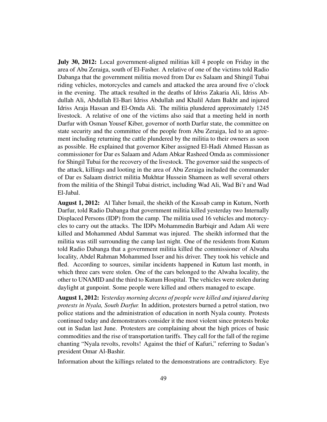July 30, 2012: Local government-aligned militias kill 4 people on Friday in the area of Abu Zeraiga, south of El-Fasher. A relative of one of the victims told Radio Dabanga that the government militia moved from Dar es Salaam and Shingil Tubai riding vehicles, motorcycles and camels and attacked the area around five o'clock in the evening. The attack resulted in the deaths of Idriss Zakaria Ali, Idriss Abdullah Ali, Abdullah El-Bari Idriss Abdullah and Khalil Adam Bakht and injured Idriss Araja Hassan and El-Omda Ali. The militia plundered approximately 1245 livestock. A relative of one of the victims also said that a meeting held in north Darfur with Osman Yousef Kiber, governor of north Darfur state, the committee on state security and the committee of the people from Abu Zeraiga, led to an agreement including returning the cattle plundered by the militia to their owners as soon as possible. He explained that governor Kiber assigned El-Hadi Ahmed Hassan as commissioner for Dar es Salaam and Adam Abkar Rasheed Omda as commissioner for Shingil Tubai for the recovery of the livestock. The governor said the suspects of the attack, killings and looting in the area of Abu Zeraiga included the commander of Dar es Salaam district militia Mukhtar Hussein Shameen as well several others from the militia of the Shingil Tubai district, including Wad Ali, Wad Bi'r and Wad El-Jabal.

August 1, 2012: Al Taher Ismail, the sheikh of the Kassab camp in Kutum, North Darfur, told Radio Dabanga that government militia killed yesterday two Internally Displaced Persons (IDP) from the camp. The militia used 16 vehicles and motorcycles to carry out the attacks. The IDPs Mohammedin Barbiqir and Adam Ali were killed and Mohammed Abdul Sammat was injured. The sheikh informed that the militia was still surrounding the camp last night. One of the residents from Kutum told Radio Dabanga that a government militia killed the commissioner of Alwaha locality, Abdel Rahman Mohammed Isser and his driver. They took his vehicle and fled. According to sources, similar incidents happened in Kutum last month, in which three cars were stolen. One of the cars belonged to the Alwaha locality, the other to UNAMID and the third to Kutum Hospital. The vehicles were stolen during daylight at gunpoint. Some people were killed and others managed to escape.

August 1, 2012: *Yesterday morning dozens of people were killed and injured during protests in Nyala, South Darfur.* In addition, protesters burned a petrol station, two police stations and the administration of education in north Nyala county. Protests continued today and demonstrators consider it the most violent since protests broke out in Sudan last June. Protesters are complaining about the high prices of basic commodities and the rise of transportation tariffs. They call for the fall of the regime chanting "Nyala revolts, revolts! Against the thief of Kafuri," referring to Sudan's president Omar Al-Bashir.

Information about the killings related to the demonstrations are contradictory. Eye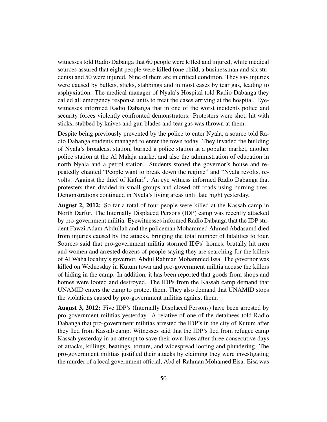witnesses told Radio Dabanga that 60 people were killed and injured, while medical sources assured that eight people were killed (one child, a businessman and six students) and 50 were injured. Nine of them are in critical condition. They say injuries were caused by bullets, sticks, stabbings and in most cases by tear gas, leading to asphyxiation. The medical manager of Nyala's Hospital told Radio Dabanga they called all emergency response units to treat the cases arriving at the hospital. Eyewitnesses informed Radio Dabanga that in one of the worst incidents police and security forces violently confronted demonstrators. Protesters were shot, hit with sticks, stabbed by knives and gun blades and tear gas was thrown at them.

Despite being previously prevented by the police to enter Nyala, a source told Radio Dabanga students managed to enter the town today. They invaded the building of Nyala's broadcast station, burned a police station at a popular market, another police station at the Al Malaja market and also the administration of education in north Nyala and a petrol station. Students stoned the governor's house and repeatedly chanted "People want to break down the regime" and "Nyala revolts, revolts! Against the thief of Kafuri". An eye witness informed Radio Dabanga that protesters then divided in small groups and closed off roads using burning tires. Demonstrations continued in Nyala's living areas until late night yesterday.

August 2, 2012: So far a total of four people were killed at the Kassab camp in North Darfur. The Internally Displaced Persons (IDP) camp was recently attacked by pro-government militia. Eyewitnesses informed Radio Dabanga that the IDP student Fawzi Adam Abdullah and the policeman Mohammed Ahmed Abdasamd died from injuries caused by the attacks, bringing the total number of fatalities to four. Sources said that pro-government militia stormed IDPs' homes, brutally hit men and women and arrested dozens of people saying they are searching for the killers of Al Waha locality's governor, Abdul Rahman Mohammed Issa. The governor was killed on Wednesday in Kutum town and pro-government militia accuse the killers of hiding in the camp. In addition, it has been reported that goods from shops and homes were looted and destroyed. The IDPs from the Kassab camp demand that UNAMID enters the camp to protect them. They also demand that UNAMID stops the violations caused by pro-government militias against them.

August 3, 2012: Five IDP's (Internally Displaced Persons) have been arrested by pro-government militias yesterday. A relative of one of the detainees told Radio Dabanga that pro-government militias arrested the IDP's in the city of Kutum after they fled from Kassab camp. Witnesses said that the IDP's fled from refugee camp Kassab yesterday in an attempt to save their own lives after three consecutive days of attacks, killings, beatings, torture, and widespread looting and plundering. The pro-government militias justified their attacks by claiming they were investigating the murder of a local government official, Abd el-Rahman Mohamed Eisa. Eisa was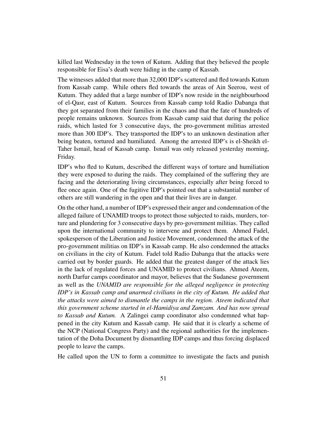killed last Wednesday in the town of Kutum. Adding that they believed the people responsible for Eisa's death were hiding in the camp of Kassab.

The witnesses added that more than 32,000 IDP's scattered and fled towards Kutum from Kassab camp. While others fled towards the areas of Ain Seerou, west of Kutum. They added that a large number of IDP's now reside in the neighbourhood of el-Qasr, east of Kutum. Sources from Kassab camp told Radio Dabanga that they got separated from their families in the chaos and that the fate of hundreds of people remains unknown. Sources from Kassab camp said that during the police raids, which lasted for 3 consecutive days, the pro-government militias arrested more than 300 IDP's. They transported the IDP's to an unknown destination after being beaten, tortured and humiliated. Among the arrested IDP's is el-Sheikh el-Taher Ismail, head of Kassab camp. Ismail was only released yesterday morning, Friday.

IDP's who fled to Kutum, described the different ways of torture and humiliation they were exposed to during the raids. They complained of the suffering they are facing and the deteriorating living circumstances, especially after being forced to flee once again. One of the fugitive IDP's pointed out that a substantial number of others are still wandering in the open and that their lives are in danger.

On the other hand, a number of IDP's expressed their anger and condemnation of the alleged failure of UNAMID troops to protect those subjected to raids, murders, torture and plundering for 3 consecutive days by pro-government militias. They called upon the international community to intervene and protect them. Ahmed Fadel, spokesperson of the Liberation and Justice Movement, condemned the attack of the pro-government militias on IDP's in Kassab camp. He also condemned the attacks on civilians in the city of Kutum. Fadel told Radio Dabanga that the attacks were carried out by border guards. He added that the greatest danger of the attack lies in the lack of regulated forces and UNAMID to protect civilians. Ahmed Ateem, north Darfur camps coordinator and mayor, believes that the Sudanese government as well as the *UNAMID are responsible for the alleged negligence in protecting IDP's in Kassab camp and unarmed civilians in the city of Kutum. He added that the attacks were aimed to dismantle the camps in the region. Ateem indicated that this government scheme started in el-Hamidiya and Zamzam. And has now spread to Kassab and Kutum.* A Zalingei camp coordinator also condemned what happened in the city Kutum and Kassab camp. He said that it is clearly a scheme of the NCP (National Congress Party) and the regional authorities for the implementation of the Doha Document by dismantling IDP camps and thus forcing displaced people to leave the camps.

He called upon the UN to form a committee to investigate the facts and punish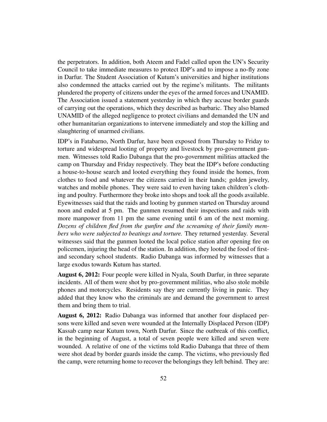the perpetrators. In addition, both Ateem and Fadel called upon the UN's Security Council to take immediate measures to protect IDP's and to impose a no-fly zone in Darfur. The Student Association of Kutum's universities and higher institutions also condemned the attacks carried out by the regime's militants. The militants plundered the property of citizens under the eyes of the armed forces and UNAMID. The Association issued a statement yesterday in which they accuse border guards of carrying out the operations, which they described as barbaric. They also blamed UNAMID of the alleged negligence to protect civilians and demanded the UN and other humanitarian organizations to intervene immediately and stop the killing and slaughtering of unarmed civilians.

IDP's in Fatabarno, North Darfur, have been exposed from Thursday to Friday to torture and widespread looting of property and livestock by pro-government gunmen. Witnesses told Radio Dabanga that the pro-government militias attacked the camp on Thursday and Friday respectively. They beat the IDP's before conducting a house-to-house search and looted everything they found inside the homes, from clothes to food and whatever the citizens carried in their hands; golden jewelry, watches and mobile phones. They were said to even having taken children's clothing and poultry. Furthermore they broke into shops and took all the goods available. Eyewitnesses said that the raids and looting by gunmen started on Thursday around noon and ended at 5 pm. The gunmen resumed their inspections and raids with more manpower from 11 pm the same evening until 6 am of the next morning. *Dozens of children fled from the gunfire and the screaming of their family members who were subjected to beatings and torture.* They returned yesterday. Several witnesses said that the gunmen looted the local police station after opening fire on policemen, injuring the head of the station. In addition, they looted the food of firstand secondary school students. Radio Dabanga was informed by witnesses that a large exodus towards Kutum has started.

August 6, 2012: Four people were killed in Nyala, South Darfur, in three separate incidents. All of them were shot by pro-government militias, who also stole mobile phones and motorcycles. Residents say they are currently living in panic. They added that they know who the criminals are and demand the government to arrest them and bring them to trial.

August 6, 2012: Radio Dabanga was informed that another four displaced persons were killed and seven were wounded at the Internally Displaced Person (IDP) Kassab camp near Kutum town, North Darfur. Since the outbreak of this conflict, in the beginning of August, a total of seven people were killed and seven were wounded. A relative of one of the victims told Radio Dabanga that three of them were shot dead by border guards inside the camp. The victims, who previously fled the camp, were returning home to recover the belongings they left behind. They are: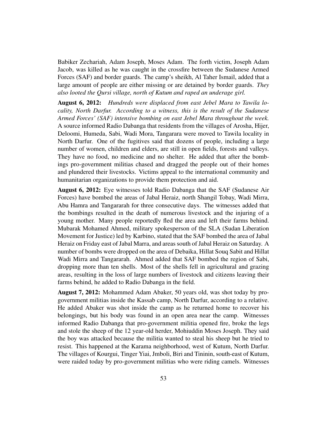Babiker Zechariah, Adam Joseph, Moses Adam. The forth victim, Joseph Adam Jacob, was killed as he was caught in the crossfire between the Sudanese Armed Forces (SAF) and border guards. The camp's sheikh, Al Taher Ismail, added that a large amount of people are either missing or are detained by border guards. *They also looted the Qursi village, north of Kutum and raped an underage girl.*

August 6, 2012: *Hundreds were displaced from east Jebel Mara to Tawila locality, North Darfur. According to a witness, this is the result of the Sudanese Armed Forces' (SAF) intensive bombing on east Jebel Mara throughout the week.* A source informed Radio Dabanga that residents from the villages of Arosha, Hijer, Deloomi, Humeda, Sabi, Wadi Mora, Tangarara were moved to Tawila locality in North Darfur. One of the fugitives said that dozens of people, including a large number of women, children and elders, are still in open fields, forests and valleys. They have no food, no medicine and no shelter. He added that after the bombings pro-government militias chased and dragged the people out of their homes and plundered their livestocks. Victims appeal to the international community and humanitarian organizations to provide them protection and aid.

August 6, 2012: Eye witnesses told Radio Dabanga that the SAF (Sudanese Air Forces) have bombed the areas of Jabal Heraiz, north Shangil Tobay, Wadi Mirra, Abu Hamra and Tangararah for three consecutive days. The witnesses added that the bombings resulted in the death of numerous livestock and the injuring of a young mother. Many people reportedly fled the area and left their farms behind. Mubarak Mohamed Ahmed, military spokesperson of the SLA (Sudan Liberation Movement for Justice) led by Karbino, stated that the SAF bombed the area of Jabal Heraiz on Friday east of Jabal Marra, and areas south of Jabal Heraiz on Saturday. A number of bombs were dropped on the area of Debaika, Hillat Souq Sabit and Hillat Wadi Mirra and Tangararah. Ahmed added that SAF bombed the region of Sabi, dropping more than ten shells. Most of the shells fell in agricultural and grazing areas, resulting in the loss of large numbers of livestock and citizens leaving their farms behind, he added to Radio Dabanga in the field.

August 7, 2012: Mohammed Adam Abaker, 50 years old, was shot today by progovernment militias inside the Kassab camp, North Darfur, according to a relative. He added Abaker was shot inside the camp as he returned home to recover his belongings, but his body was found in an open area near the camp. Witnesses informed Radio Dabanga that pro-government militia opened fire, broke the legs and stole the sheep of the 12 year-old herder, Mohiuddin Moses Joseph. They said the boy was attacked because the militia wanted to steal his sheep but he tried to resist. This happened at the Karama neighborhood, west of Kutum, North Darfur. The villages of Kourgui, Tinger Yiai, Jmboli, Biri and Tininin, south-east of Kutum, were raided today by pro-government militias who were riding camels. Witnesses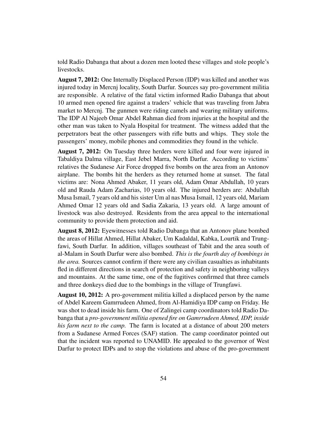told Radio Dabanga that about a dozen men looted these villages and stole people's livestocks.

August 7, 2012: One Internally Displaced Person (IDP) was killed and another was injured today in Mercnj locality, South Darfur. Sources say pro-government militia are responsible. A relative of the fatal victim informed Radio Dabanga that about 10 armed men opened fire against a traders' vehicle that was traveling from Jabra market to Mercnj. The gunmen were riding camels and wearing military uniforms. The IDP Al Najeeb Omar Abdel Rahman died from injuries at the hospital and the other man was taken to Nyala Hospital for treatment. The witness added that the perpetrators beat the other passengers with rifle butts and whips. They stole the passengers' money, mobile phones and commodities they found in the vehicle.

August 7, 2012: On Tuesday three herders were killed and four were injured in Tabaldiya Dalma village, East Jebel Marra, North Darfur. According to victims' relatives the Sudanese Air Force dropped five bombs on the area from an Antonov airplane. The bombs hit the herders as they returned home at sunset. The fatal victims are: Nona Ahmed Abaker, 11 years old, Adam Omar Abdullah, 10 years old and Rauda Adam Zacharias, 10 years old. The injured herders are: Abdullah Musa Ismail, 7 years old and his sister Um al nas Musa Ismail, 12 years old, Mariam Ahmed Omar 12 years old and Sadia Zakaria, 13 years old. A large amount of livestock was also destroyed. Residents from the area appeal to the international community to provide them protection and aid.

August 8, 2012: Eyewitnesses told Radio Dabanga that an Antonov plane bombed the areas of Hillat Ahmed, Hillat Abaker, Um Kadaldal, Kabka, Lourtik and Trungfawi, South Darfur. In addition, villages southeast of Tabit and the area south of al-Malam in South Darfur were also bombed. *This is the fourth day of bombings in the area.* Sources cannot confirm if there were any civilian casualties as inhabitants fled in different directions in search of protection and safety in neighboring valleys and mountains. At the same time, one of the fugitives confirmed that three camels and three donkeys died due to the bombings in the village of Trungfawi.

August 10, 2012: A pro-government militia killed a displaced person by the name of Abdel Kareem Gamrrudeen Ahmed, from Al-Hamidiya IDP camp on Friday. He was shot to dead inside his farm. One of Zalingei camp coordinators told Radio Dabanga that a *pro-government militia opened fire on Gamrrudeen Ahmed, IDP, inside his farm next to the camp.* The farm is located at a distance of about 200 meters from a Sudanese Armed Forces (SAF) station. The camp coordinator pointed out that the incident was reported to UNAMID. He appealed to the governor of West Darfur to protect IDPs and to stop the violations and abuse of the pro-government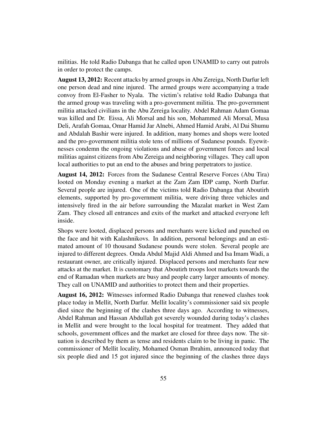militias. He told Radio Dabanga that he called upon UNAMID to carry out patrols in order to protect the camps.

August 13, 2012: Recent attacks by armed groups in Abu Zereiga, North Darfur left one person dead and nine injured. The armed groups were accompanying a trade convoy from El-Fasher to Nyala. The victim's relative told Radio Dabanga that the armed group was traveling with a pro-government militia. The pro-government militia attacked civilians in the Abu Zereiga locality. Abdel Rahman Adam Gomaa was killed and Dr. Eissa, Ali Morsal and his son, Mohammed Ali Morsal, Musa Deli, Arafah Gomaa, Omar Hamid Jar Alnebi, Ahmed Hamid Arabi, Al Dai Shumu and Abdalah Bashir were injured. In addition, many homes and shops were looted and the pro-government militia stole tens of millions of Sudanese pounds. Eyewitnesses condemn the ongoing violations and abuse of government forces and local militias against citizens from Abu Zereiga and neighboring villages. They call upon local authorities to put an end to the abuses and bring perpetrators to justice.

August 14, 2012: Forces from the Sudanese Central Reserve Forces (Abu Tira) looted on Monday evening a market at the Zam Zam IDP camp, North Darfur. Several people are injured. One of the victims told Radio Dabanga that Aboutirh elements, supported by pro-government militia, were driving three vehicles and intensively fired in the air before surrounding the Mazalat market in West Zam Zam. They closed all entrances and exits of the market and attacked everyone left inside.

Shops were looted, displaced persons and merchants were kicked and punched on the face and hit with Kalashnikovs. In addition, personal belongings and an estimated amount of 10 thousand Sudanese pounds were stolen. Several people are injured to different degrees. Omda Abdul Majid Aldi Ahmed and Isa Imam Wadi, a restaurant owner, are critically injured. Displaced persons and merchants fear new attacks at the market. It is customary that Aboutirh troops loot markets towards the end of Ramadan when markets are busy and people carry larger amounts of money. They call on UNAMID and authorities to protect them and their properties.

August 16, 2012: Witnesses informed Radio Dabanga that renewed clashes took place today in Mellit, North Darfur. Mellit locality's commissioner said six people died since the beginning of the clashes three days ago. According to witnesses, Abdel Rahman and Hassan Abdullah got severely wounded during today's clashes in Mellit and were brought to the local hospital for treatment. They added that schools, government offices and the market are closed for three days now. The situation is described by them as tense and residents claim to be living in panic. The commissioner of Mellit locality, Mohamed Osman Ibrahim, announced today that six people died and 15 got injured since the beginning of the clashes three days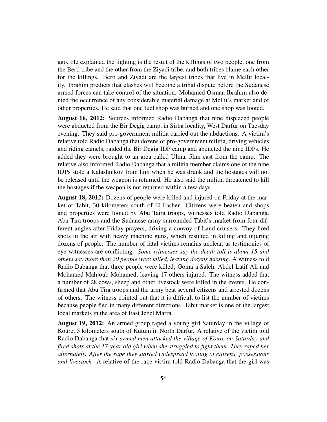ago. He explained the fighting is the result of the killings of two people, one from the Berti tribe and the other from the Ziyadi tribe, and both tribes blame each other for the killings. Berti and Ziyadi are the largest tribes that live in Mellit locality. Ibrahim predicts that clashes will become a tribal dispute before the Sudanese armed forces can take control of the situation. Mohamed Osman Ibrahim also denied the occurrence of any considerable material damage at Mellit's market and of other properties. He said that one fuel shop was burned and one shop was looted.

August 16, 2012: Sources informed Radio Dabanga that nine displaced people were abducted from the Bir Degig camp, in Sirba locality, West Darfur on Tuesday evening. They said pro-government militia carried out the abductions. A victim's relative told Radio Dabanga that dozens of pro-government militia, driving vehicles and riding camels, raided the Bir Degig IDP camp and abducted the nine IDPs. He added they were brought to an area called Ulma, 5km east from the camp. The relative also informed Radio Dabanga that a militia member claims one of the nine IDPs stole a Kalashnikov from him when he was drunk and the hostages will not be released until the weapon is returned. He also said the militia threatened to kill the hostages if the weapon is not returned within a few days.

August 18, 2012: Dozens of people were killed and injured on Friday at the market of Tabit, 30 kilometers south of El-Fasher. Citizens were beaten and shops and properties were looted by Abu Taira troops, witnesses told Radio Dabanga. Abu Tira troops and the Sudanese army surrounded Tabit's market from four different angles after Friday prayers, driving a convoy of Land-cruisers. They fired shots in the air with heavy machine guns, which resulted in killing and injuring dozens of people. The number of fatal victims remains unclear, as testimonies of eye-witnesses are conflicting. *Some witnesses say the death toll is about 15 and others say more than 20 people were killed, leaving dozens missing.* A witness told Radio Dabanga that three people were killed; Goma'a Saleh, Abdel Latif Ali and Mohamed Mahjoub Mohamed, leaving 17 others injured. The witness added that a number of 28 cows, sheep and other livestock were killed in the events. He confirmed that Abu Tira troops and the army beat several citizens and arrested dozens of others. The witness pointed out that it is difficult to list the number of victims because people fled in many different directions. Tabit market is one of the largest local markets in the area of East Jebel Marra.

August 19, 2012: An armed group raped a young girl Saturday in the village of Koure, 5 kilometers south of Kutum in North Darfur. A relative of the victim told Radio Dabanga that *six armed men attacked the village of Koure on Saturday and fired shots at the 17-year old girl when she struggled to fight them. They raped her alternately. After the rape they started widespread looting of citizens' possessions and livestock.* A relative of the rape victim told Radio Dabanga that the girl was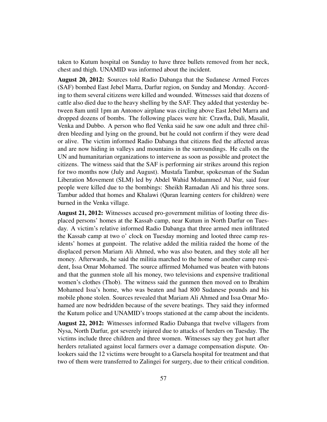taken to Kutum hospital on Sunday to have three bullets removed from her neck, chest and thigh. UNAMID was informed about the incident.

August 20, 2012: Sources told Radio Dabanga that the Sudanese Armed Forces (SAF) bombed East Jebel Marra, Darfur region, on Sunday and Monday. According to them several citizens were killed and wounded. Witnesses said that dozens of cattle also died due to the heavy shelling by the SAF. They added that yesterday between 8am until 1pm an Antonov airplane was circling above East Jebel Marra and dropped dozens of bombs. The following places were hit: Crawfla, Dali, Masalit, Venka and Dubbo. A person who fled Venka said he saw one adult and three children bleeding and lying on the ground, but he could not confirm if they were dead or alive. The victim informed Radio Dabanga that citizens fled the affected areas and are now hiding in valleys and mountains in the surroundings. He calls on the UN and humanitarian organizations to intervene as soon as possible and protect the citizens. The witness said that the SAF is performing air strikes around this region for two months now (July and August). Mustafa Tambur, spokesman of the Sudan Liberation Movement (SLM) led by Abdel Wahid Mohammed Al Nur, said four people were killed due to the bombings: Sheikh Ramadan Ali and his three sons. Tambur added that homes and Khalawi (Quran learning centers for children) were burned in the Venka village.

August 21, 2012: Witnesses accused pro-government militias of looting three displaced persons' homes at the Kassab camp, near Kutum in North Darfur on Tuesday. A victim's relative informed Radio Dabanga that three armed men infiltrated the Kassab camp at two o' clock on Tuesday morning and looted three camp residents' homes at gunpoint. The relative added the militia raided the home of the displaced person Mariam Ali Ahmed, who was also beaten, and they stole all her money. Afterwards, he said the militia marched to the home of another camp resident, Issa Omar Mohamed. The source affirmed Mohamed was beaten with batons and that the gunmen stole all his money, two televisions and expensive traditional women's clothes (Thob). The witness said the gunmen then moved on to Ibrahim Mohamed Issa's home, who was beaten and had 800 Sudanese pounds and his mobile phone stolen. Sources revealed that Mariam Ali Ahmed and Issa Omar Mohamed are now bedridden because of the severe beatings. They said they informed the Kutum police and UNAMID's troops stationed at the camp about the incidents.

August 22, 2012: Witnesses informed Radio Dabanga that twelve villagers from Nysa, North Darfur, got severely injured due to attacks of herders on Tuesday. The victims include three children and three women. Witnesses say they got hurt after herders retaliated against local farmers over a damage compensation dispute. Onlookers said the 12 victims were brought to a Garsela hospital for treatment and that two of them were transferred to Zalingei for surgery, due to their critical condition.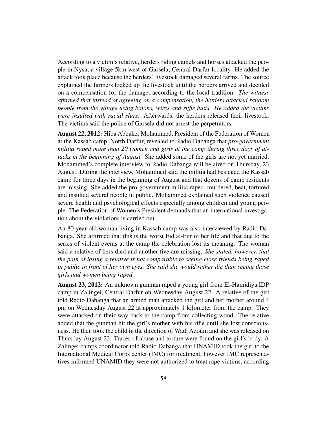According to a victim's relative, herders riding camels and horses attacked the people in Nysa, a village 5km west of Garsela, Central Darfur locality. He added the attack took place because the herders' livestock damaged several farms. The source explained the farmers locked up the livestock until the herders arrived and decided on a compensation for the damage, according to the local tradition. *The witness affirmed that instead of agreeing on a compensation, the herders attacked random people from the village using batons, wires and riffle butts. He added the victims were insulted with racial slurs.* Afterwards, the herders released their livestock. The victims said the police of Garsela did not arrest the perpetrators.

August 22, 2012: Hiba Abbaker Mohammed, President of the Federation of Women at the Kassab camp, North Darfur, revealed to Radio Dabanga that *pro-government militia raped more than 20 women and girls at the camp during three days of attacks in the beginning of August.* She added some of the girls are not yet married. Mohammed's complete interview to Radio Dabanga will be aired on Thursday, 23 August. During the interview, Mohammed said the militia had besieged the Kassab camp for three days in the beginning of August and that dozens of camp residents are missing. She added the pro-government militia raped, murdered, beat, tortured and insulted several people in public. Mohammed explained such violence caused severe health and psychological effects especially among children and young people. The Federation of Women's President demands that an international investigation about the violations is carried out.

An 80-year old woman living in Kassab camp was also interviewed by Radio Dabanga. She affirmed that this is the worst Eid al-Fitr of her life and that due to the series of violent events at the camp the celebration lost its meaning. The woman said a relative of hers died and another five are missing. *She stated, however, that the pain of losing a relative is not comparable to seeing close friends being raped in public in front of her own eyes. She said she would rather die than seeing those girls and women being raped.*

August 23, 2012: An unknown gunman raped a young girl from El-Hamidiya IDP camp in Zalingei, Central Darfur on Wednesday August 22. A relative of the girl told Radio Dabanga that an armed man attacked the girl and her mother around 4 pm on Wednesday August 22 at approximately 1 kilometer from the camp. They were attacked on their way back to the camp from collecting wood. The relative added that the gunman hit the girl's mother with his rifle until she lost consciousness. He then took the child in the direction of Wadi Azoum and she was released on Thursday August 23. Traces of abuse and torture were found on the girl's body. A Zalingei camps coordinator told Radio Dabanga that UNAMID took the girl to the International Medical Corps center (IMC) for treatment, however IMC representatives informed UNAMID they were not authorized to treat rape victims, according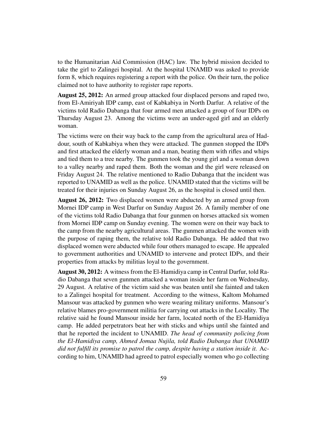to the Humanitarian Aid Commission (HAC) law. The hybrid mission decided to take the girl to Zalingei hospital. At the hospital UNAMID was asked to provide form 8, which requires registering a report with the police. On their turn, the police claimed not to have authority to register rape reports.

August 25, 2012: An armed group attacked four displaced persons and raped two, from El-Amiriyah IDP camp, east of Kabkabiya in North Darfur. A relative of the victims told Radio Dabanga that four armed men attacked a group of four IDPs on Thursday August 23. Among the victims were an under-aged girl and an elderly woman.

The victims were on their way back to the camp from the agricultural area of Haddour, south of Kabkabiya when they were attacked. The gunmen stopped the IDPs and first attacked the elderly woman and a man, beating them with rifles and whips and tied them to a tree nearby. The gunmen took the young girl and a woman down to a valley nearby and raped them. Both the woman and the girl were released on Friday August 24. The relative mentioned to Radio Dabanga that the incident was reported to UNAMID as well as the police. UNAMID stated that the victims will be treated for their injuries on Sunday August 26, as the hospital is closed until then.

August 26, 2012: Two displaced women were abducted by an armed group from Mornei IDP camp in West Darfur on Sunday August 26. A family member of one of the victims told Radio Dabanga that four gunmen on horses attacked six women from Mornei IDP camp on Sunday evening. The women were on their way back to the camp from the nearby agricultural areas. The gunmen attacked the women with the purpose of raping them, the relative told Radio Dabanga. He added that two displaced women were abducted while four others managed to escape. He appealed to government authorities and UNAMID to intervene and protect IDPs, and their properties from attacks by militias loyal to the government.

August 30, 2012: A witness from the El-Hamidiya camp in Central Darfur, told Radio Dabanga that seven gunmen attacked a woman inside her farm on Wednesday, 29 August. A relative of the victim said she was beaten until she fainted and taken to a Zalingei hospital for treatment. According to the witness, Kaltom Mohamed Mansour was attacked by gunmen who were wearing military uniforms. Mansour's relative blames pro-government militia for carrying out attacks in the Locality. The relative said he found Mansour inside her farm, located north of the El-Hamidiya camp. He added perpetrators beat her with sticks and whips until she fainted and that he reported the incident to UNAMID. *The head of community policing from the El-Hamidiya camp, Ahmed Jomaa Nujila, told Radio Dabanga that UNAMID did not fulfill its promise to patrol the camp, despite having a station inside it.* According to him, UNAMID had agreed to patrol especially women who go collecting